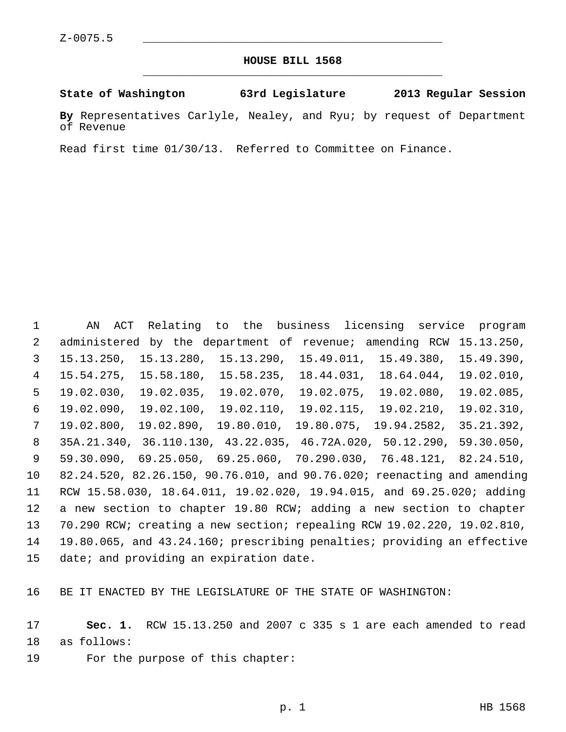## **HOUSE BILL 1568** \_\_\_\_\_\_\_\_\_\_\_\_\_\_\_\_\_\_\_\_\_\_\_\_\_\_\_\_\_\_\_\_\_\_\_\_\_\_\_\_\_\_\_\_\_

## **State of Washington 63rd Legislature 2013 Regular Session**

**By** Representatives Carlyle, Nealey, and Ryu; by request of Department of Revenue

Read first time 01/30/13. Referred to Committee on Finance.

 1 AN ACT Relating to the business licensing service program 2 administered by the department of revenue; amending RCW 15.13.250, 3 15.13.250, 15.13.280, 15.13.290, 15.49.011, 15.49.380, 15.49.390, 4 15.54.275, 15.58.180, 15.58.235, 18.44.031, 18.64.044, 19.02.010, 5 19.02.030, 19.02.035, 19.02.070, 19.02.075, 19.02.080, 19.02.085, 6 19.02.090, 19.02.100, 19.02.110, 19.02.115, 19.02.210, 19.02.310, 7 19.02.800, 19.02.890, 19.80.010, 19.80.075, 19.94.2582, 35.21.392, 8 35A.21.340, 36.110.130, 43.22.035, 46.72A.020, 50.12.290, 59.30.050, 9 59.30.090, 69.25.050, 69.25.060, 70.290.030, 76.48.121, 82.24.510, 10 82.24.520, 82.26.150, 90.76.010, and 90.76.020; reenacting and amending 11 RCW 15.58.030, 18.64.011, 19.02.020, 19.94.015, and 69.25.020; adding 12 a new section to chapter 19.80 RCW; adding a new section to chapter 13 70.290 RCW; creating a new section; repealing RCW 19.02.220, 19.02.810, 14 19.80.065, and 43.24.160; prescribing penalties; providing an effective 15 date; and providing an expiration date.

16 BE IT ENACTED BY THE LEGISLATURE OF THE STATE OF WASHINGTON:

17 **Sec. 1.** RCW 15.13.250 and 2007 c 335 s 1 are each amended to read 18 as follows:

19 For the purpose of this chapter: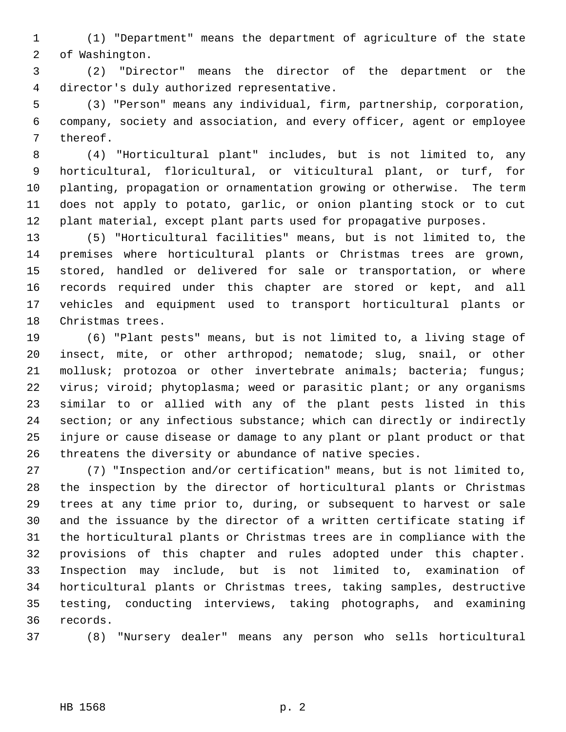1 (1) "Department" means the department of agriculture of the state 2 of Washington.

 3 (2) "Director" means the director of the department or the 4 director's duly authorized representative.

 5 (3) "Person" means any individual, firm, partnership, corporation, 6 company, society and association, and every officer, agent or employee 7 thereof.

 8 (4) "Horticultural plant" includes, but is not limited to, any 9 horticultural, floricultural, or viticultural plant, or turf, for 10 planting, propagation or ornamentation growing or otherwise. The term 11 does not apply to potato, garlic, or onion planting stock or to cut 12 plant material, except plant parts used for propagative purposes.

13 (5) "Horticultural facilities" means, but is not limited to, the 14 premises where horticultural plants or Christmas trees are grown, 15 stored, handled or delivered for sale or transportation, or where 16 records required under this chapter are stored or kept, and all 17 vehicles and equipment used to transport horticultural plants or 18 Christmas trees.

19 (6) "Plant pests" means, but is not limited to, a living stage of 20 insect, mite, or other arthropod; nematode; slug, snail, or other 21 mollusk; protozoa or other invertebrate animals; bacteria; fungus; 22 virus; viroid; phytoplasma; weed or parasitic plant; or any organisms 23 similar to or allied with any of the plant pests listed in this 24 section; or any infectious substance; which can directly or indirectly 25 injure or cause disease or damage to any plant or plant product or that 26 threatens the diversity or abundance of native species.

27 (7) "Inspection and/or certification" means, but is not limited to, 28 the inspection by the director of horticultural plants or Christmas 29 trees at any time prior to, during, or subsequent to harvest or sale 30 and the issuance by the director of a written certificate stating if 31 the horticultural plants or Christmas trees are in compliance with the 32 provisions of this chapter and rules adopted under this chapter. 33 Inspection may include, but is not limited to, examination of 34 horticultural plants or Christmas trees, taking samples, destructive 35 testing, conducting interviews, taking photographs, and examining 36 records.

37 (8) "Nursery dealer" means any person who sells horticultural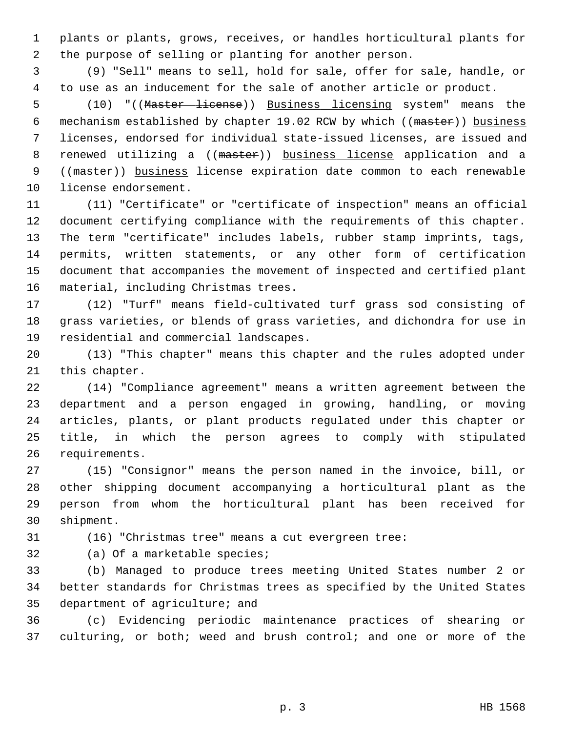1 plants or plants, grows, receives, or handles horticultural plants for 2 the purpose of selling or planting for another person.

 3 (9) "Sell" means to sell, hold for sale, offer for sale, handle, or 4 to use as an inducement for the sale of another article or product.

 5 (10) "((Master license)) Business licensing system" means the 6 mechanism established by chapter 19.02 RCW by which ((master)) business 7 licenses, endorsed for individual state-issued licenses, are issued and 8 renewed utilizing a ((master)) business license application and a 9 ((master)) business license expiration date common to each renewable 10 license endorsement.

11 (11) "Certificate" or "certificate of inspection" means an official 12 document certifying compliance with the requirements of this chapter. 13 The term "certificate" includes labels, rubber stamp imprints, tags, 14 permits, written statements, or any other form of certification 15 document that accompanies the movement of inspected and certified plant 16 material, including Christmas trees.

17 (12) "Turf" means field-cultivated turf grass sod consisting of 18 grass varieties, or blends of grass varieties, and dichondra for use in 19 residential and commercial landscapes.

20 (13) "This chapter" means this chapter and the rules adopted under 21 this chapter.

22 (14) "Compliance agreement" means a written agreement between the 23 department and a person engaged in growing, handling, or moving 24 articles, plants, or plant products regulated under this chapter or 25 title, in which the person agrees to comply with stipulated 26 requirements.

27 (15) "Consignor" means the person named in the invoice, bill, or 28 other shipping document accompanying a horticultural plant as the 29 person from whom the horticultural plant has been received for 30 shipment.

31 (16) "Christmas tree" means a cut evergreen tree:

32 (a) Of a marketable species;

33 (b) Managed to produce trees meeting United States number 2 or 34 better standards for Christmas trees as specified by the United States 35 department of agriculture; and

36 (c) Evidencing periodic maintenance practices of shearing or 37 culturing, or both; weed and brush control; and one or more of the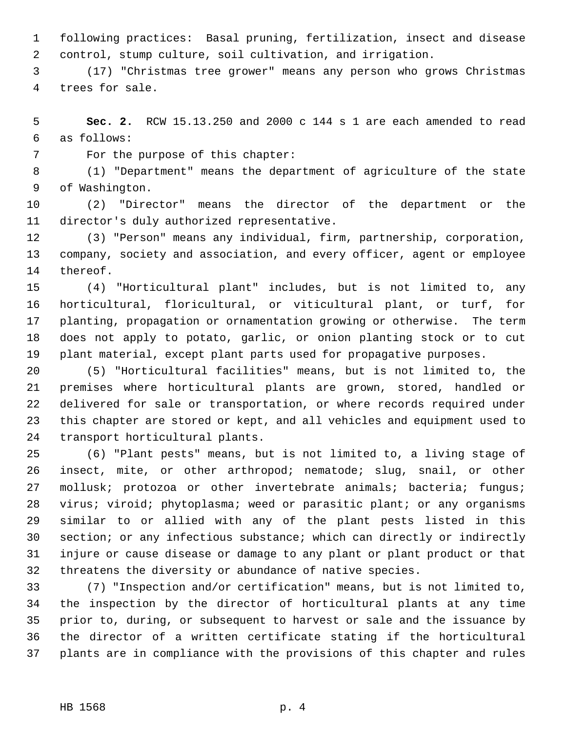1 following practices: Basal pruning, fertilization, insect and disease 2 control, stump culture, soil cultivation, and irrigation.

 3 (17) "Christmas tree grower" means any person who grows Christmas 4 trees for sale.

 5 **Sec. 2.** RCW 15.13.250 and 2000 c 144 s 1 are each amended to read 6 as follows:

7 For the purpose of this chapter:

 8 (1) "Department" means the department of agriculture of the state 9 of Washington.

10 (2) "Director" means the director of the department or the 11 director's duly authorized representative.

12 (3) "Person" means any individual, firm, partnership, corporation, 13 company, society and association, and every officer, agent or employee 14 thereof.

15 (4) "Horticultural plant" includes, but is not limited to, any 16 horticultural, floricultural, or viticultural plant, or turf, for 17 planting, propagation or ornamentation growing or otherwise. The term 18 does not apply to potato, garlic, or onion planting stock or to cut 19 plant material, except plant parts used for propagative purposes.

20 (5) "Horticultural facilities" means, but is not limited to, the 21 premises where horticultural plants are grown, stored, handled or 22 delivered for sale or transportation, or where records required under 23 this chapter are stored or kept, and all vehicles and equipment used to 24 transport horticultural plants.

25 (6) "Plant pests" means, but is not limited to, a living stage of 26 insect, mite, or other arthropod; nematode; slug, snail, or other 27 mollusk; protozoa or other invertebrate animals; bacteria; fungus; 28 virus; viroid; phytoplasma; weed or parasitic plant; or any organisms 29 similar to or allied with any of the plant pests listed in this 30 section; or any infectious substance; which can directly or indirectly 31 injure or cause disease or damage to any plant or plant product or that 32 threatens the diversity or abundance of native species.

33 (7) "Inspection and/or certification" means, but is not limited to, 34 the inspection by the director of horticultural plants at any time 35 prior to, during, or subsequent to harvest or sale and the issuance by 36 the director of a written certificate stating if the horticultural 37 plants are in compliance with the provisions of this chapter and rules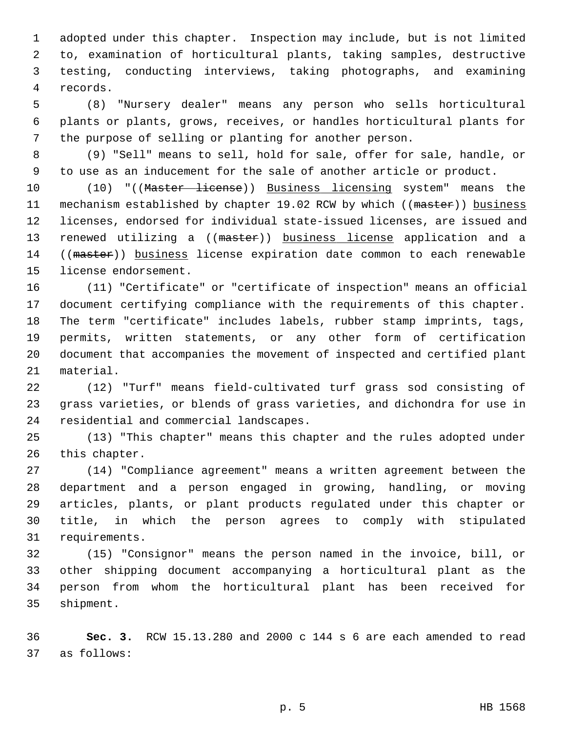1 adopted under this chapter. Inspection may include, but is not limited 2 to, examination of horticultural plants, taking samples, destructive 3 testing, conducting interviews, taking photographs, and examining 4 records.

 5 (8) "Nursery dealer" means any person who sells horticultural 6 plants or plants, grows, receives, or handles horticultural plants for 7 the purpose of selling or planting for another person.

 8 (9) "Sell" means to sell, hold for sale, offer for sale, handle, or 9 to use as an inducement for the sale of another article or product.

10 (10) "((Master license)) Business licensing system" means the 11 mechanism established by chapter 19.02 RCW by which ((master)) business 12 licenses, endorsed for individual state-issued licenses, are issued and 13 renewed utilizing a ((master)) business license application and a 14 ((master)) business license expiration date common to each renewable 15 license endorsement.

16 (11) "Certificate" or "certificate of inspection" means an official 17 document certifying compliance with the requirements of this chapter. 18 The term "certificate" includes labels, rubber stamp imprints, tags, 19 permits, written statements, or any other form of certification 20 document that accompanies the movement of inspected and certified plant 21 material.

22 (12) "Turf" means field-cultivated turf grass sod consisting of 23 grass varieties, or blends of grass varieties, and dichondra for use in 24 residential and commercial landscapes.

25 (13) "This chapter" means this chapter and the rules adopted under 26 this chapter.

27 (14) "Compliance agreement" means a written agreement between the 28 department and a person engaged in growing, handling, or moving 29 articles, plants, or plant products regulated under this chapter or 30 title, in which the person agrees to comply with stipulated 31 requirements.

32 (15) "Consignor" means the person named in the invoice, bill, or 33 other shipping document accompanying a horticultural plant as the 34 person from whom the horticultural plant has been received for 35 shipment.

36 **Sec. 3.** RCW 15.13.280 and 2000 c 144 s 6 are each amended to read 37 as follows: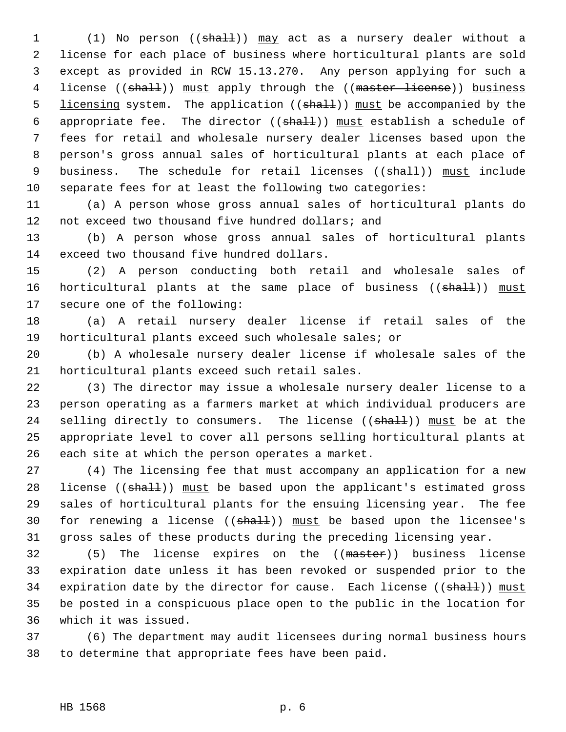1 (1) No person ((shall)) may act as a nursery dealer without a 2 license for each place of business where horticultural plants are sold 3 except as provided in RCW 15.13.270. Any person applying for such a 4 license ((shall)) must apply through the ((master license)) business 5 licensing system. The application (( $\frac{1}{2}$ )) must be accompanied by the 6 appropriate fee. The director  $((shall))$  must establish a schedule of 7 fees for retail and wholesale nursery dealer licenses based upon the 8 person's gross annual sales of horticultural plants at each place of 9 business. The schedule for retail licenses ((shall)) must include 10 separate fees for at least the following two categories:

11 (a) A person whose gross annual sales of horticultural plants do 12 not exceed two thousand five hundred dollars; and

13 (b) A person whose gross annual sales of horticultural plants 14 exceed two thousand five hundred dollars.

15 (2) A person conducting both retail and wholesale sales of 16 horticultural plants at the same place of business ((shall)) must 17 secure one of the following:

18 (a) A retail nursery dealer license if retail sales of the 19 horticultural plants exceed such wholesale sales; or

20 (b) A wholesale nursery dealer license if wholesale sales of the 21 horticultural plants exceed such retail sales.

22 (3) The director may issue a wholesale nursery dealer license to a 23 person operating as a farmers market at which individual producers are 24 selling directly to consumers. The license  $((shall))$  must be at the 25 appropriate level to cover all persons selling horticultural plants at 26 each site at which the person operates a market.

27 (4) The licensing fee that must accompany an application for a new 28 license ((shall)) must be based upon the applicant's estimated gross 29 sales of horticultural plants for the ensuing licensing year. The fee 30 for renewing a license  $((shath)$ ) must be based upon the licensee's 31 gross sales of these products during the preceding licensing year.

32 (5) The license expires on the ((master)) business license 33 expiration date unless it has been revoked or suspended prior to the 34 expiration date by the director for cause. Each license ((shall)) must 35 be posted in a conspicuous place open to the public in the location for 36 which it was issued.

37 (6) The department may audit licensees during normal business hours 38 to determine that appropriate fees have been paid.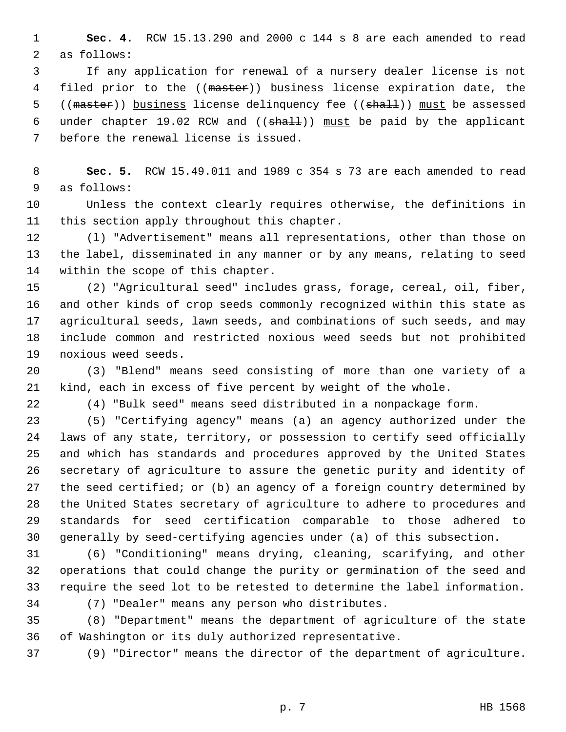1 **Sec. 4.** RCW 15.13.290 and 2000 c 144 s 8 are each amended to read 2 as follows:

 3 If any application for renewal of a nursery dealer license is not 4 filed prior to the ((master)) business license expiration date, the 5 ((master)) business license delinquency fee ((shall)) must be assessed 6 under chapter 19.02 RCW and  $((shall))$  must be paid by the applicant 7 before the renewal license is issued.

 8 **Sec. 5.** RCW 15.49.011 and 1989 c 354 s 73 are each amended to read 9 as follows:

10 Unless the context clearly requires otherwise, the definitions in 11 this section apply throughout this chapter.

12 (l) "Advertisement" means all representations, other than those on 13 the label, disseminated in any manner or by any means, relating to seed 14 within the scope of this chapter.

15 (2) "Agricultural seed" includes grass, forage, cereal, oil, fiber, 16 and other kinds of crop seeds commonly recognized within this state as 17 agricultural seeds, lawn seeds, and combinations of such seeds, and may 18 include common and restricted noxious weed seeds but not prohibited 19 noxious weed seeds.

20 (3) "Blend" means seed consisting of more than one variety of a 21 kind, each in excess of five percent by weight of the whole.

22 (4) "Bulk seed" means seed distributed in a nonpackage form.

23 (5) "Certifying agency" means (a) an agency authorized under the 24 laws of any state, territory, or possession to certify seed officially 25 and which has standards and procedures approved by the United States 26 secretary of agriculture to assure the genetic purity and identity of 27 the seed certified; or (b) an agency of a foreign country determined by 28 the United States secretary of agriculture to adhere to procedures and 29 standards for seed certification comparable to those adhered to 30 generally by seed-certifying agencies under (a) of this subsection.

31 (6) "Conditioning" means drying, cleaning, scarifying, and other 32 operations that could change the purity or germination of the seed and 33 require the seed lot to be retested to determine the label information.

34 (7) "Dealer" means any person who distributes.

35 (8) "Department" means the department of agriculture of the state 36 of Washington or its duly authorized representative.

37 (9) "Director" means the director of the department of agriculture.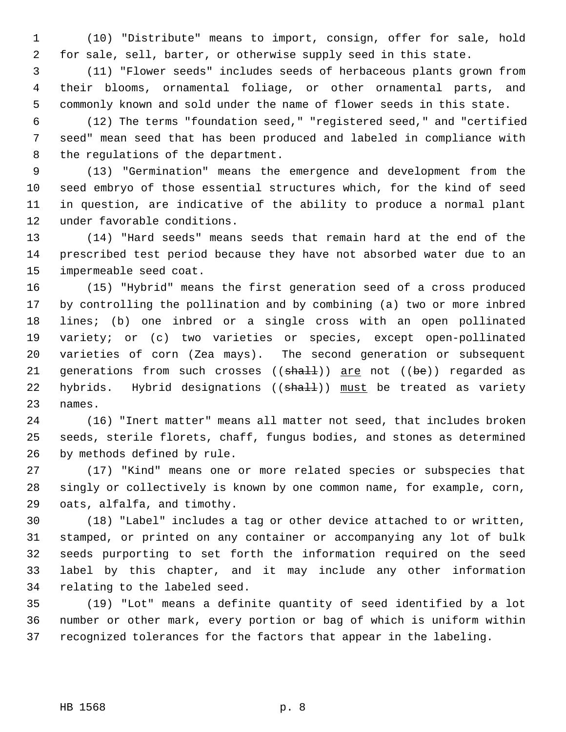1 (10) "Distribute" means to import, consign, offer for sale, hold 2 for sale, sell, barter, or otherwise supply seed in this state.

 3 (11) "Flower seeds" includes seeds of herbaceous plants grown from 4 their blooms, ornamental foliage, or other ornamental parts, and 5 commonly known and sold under the name of flower seeds in this state.

 6 (12) The terms "foundation seed," "registered seed," and "certified 7 seed" mean seed that has been produced and labeled in compliance with 8 the regulations of the department.

 9 (13) "Germination" means the emergence and development from the 10 seed embryo of those essential structures which, for the kind of seed 11 in question, are indicative of the ability to produce a normal plant 12 under favorable conditions.

13 (14) "Hard seeds" means seeds that remain hard at the end of the 14 prescribed test period because they have not absorbed water due to an 15 impermeable seed coat.

16 (15) "Hybrid" means the first generation seed of a cross produced 17 by controlling the pollination and by combining (a) two or more inbred 18 lines; (b) one inbred or a single cross with an open pollinated 19 variety; or (c) two varieties or species, except open-pollinated 20 varieties of corn (Zea mays). The second generation or subsequent 21 generations from such crosses  $((shall))$  are not  $((be))$  regarded as 22 hybrids. Hybrid designations ((shall)) must be treated as variety 23 names.

24 (16) "Inert matter" means all matter not seed, that includes broken 25 seeds, sterile florets, chaff, fungus bodies, and stones as determined 26 by methods defined by rule.

27 (17) "Kind" means one or more related species or subspecies that 28 singly or collectively is known by one common name, for example, corn, 29 oats, alfalfa, and timothy.

30 (18) "Label" includes a tag or other device attached to or written, 31 stamped, or printed on any container or accompanying any lot of bulk 32 seeds purporting to set forth the information required on the seed 33 label by this chapter, and it may include any other information 34 relating to the labeled seed.

35 (19) "Lot" means a definite quantity of seed identified by a lot 36 number or other mark, every portion or bag of which is uniform within 37 recognized tolerances for the factors that appear in the labeling.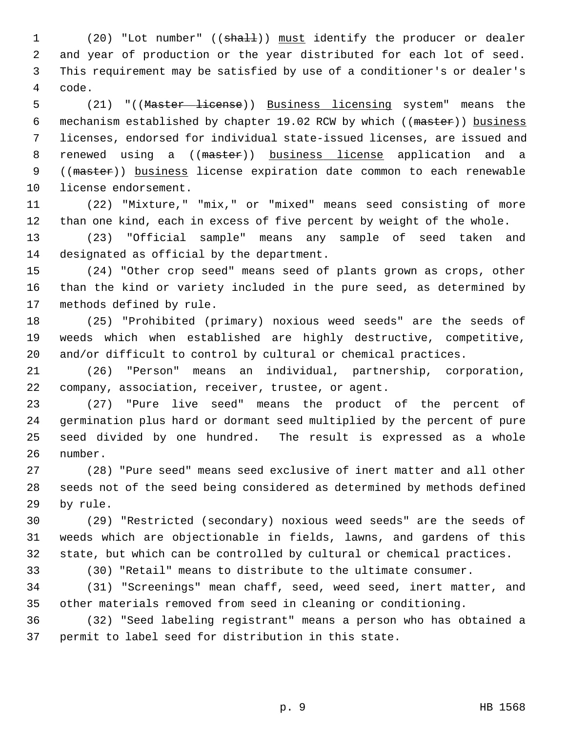1 (20) "Lot number" ((shall)) must identify the producer or dealer 2 and year of production or the year distributed for each lot of seed. 3 This requirement may be satisfied by use of a conditioner's or dealer's 4 code.

 5 (21) "((Master license)) Business licensing system" means the 6 mechanism established by chapter 19.02 RCW by which ((master)) business 7 licenses, endorsed for individual state-issued licenses, are issued and 8 renewed using a ((master)) business license application and a 9 ((master)) business license expiration date common to each renewable 10 license endorsement.

11 (22) "Mixture," "mix," or "mixed" means seed consisting of more 12 than one kind, each in excess of five percent by weight of the whole.

13 (23) "Official sample" means any sample of seed taken and 14 designated as official by the department.

15 (24) "Other crop seed" means seed of plants grown as crops, other 16 than the kind or variety included in the pure seed, as determined by 17 methods defined by rule.

18 (25) "Prohibited (primary) noxious weed seeds" are the seeds of 19 weeds which when established are highly destructive, competitive, 20 and/or difficult to control by cultural or chemical practices.

21 (26) "Person" means an individual, partnership, corporation, 22 company, association, receiver, trustee, or agent.

23 (27) "Pure live seed" means the product of the percent of 24 germination plus hard or dormant seed multiplied by the percent of pure 25 seed divided by one hundred. The result is expressed as a whole 26 number.

27 (28) "Pure seed" means seed exclusive of inert matter and all other 28 seeds not of the seed being considered as determined by methods defined 29 by rule.

30 (29) "Restricted (secondary) noxious weed seeds" are the seeds of 31 weeds which are objectionable in fields, lawns, and gardens of this 32 state, but which can be controlled by cultural or chemical practices.

33 (30) "Retail" means to distribute to the ultimate consumer.

34 (31) "Screenings" mean chaff, seed, weed seed, inert matter, and 35 other materials removed from seed in cleaning or conditioning.

36 (32) "Seed labeling registrant" means a person who has obtained a 37 permit to label seed for distribution in this state.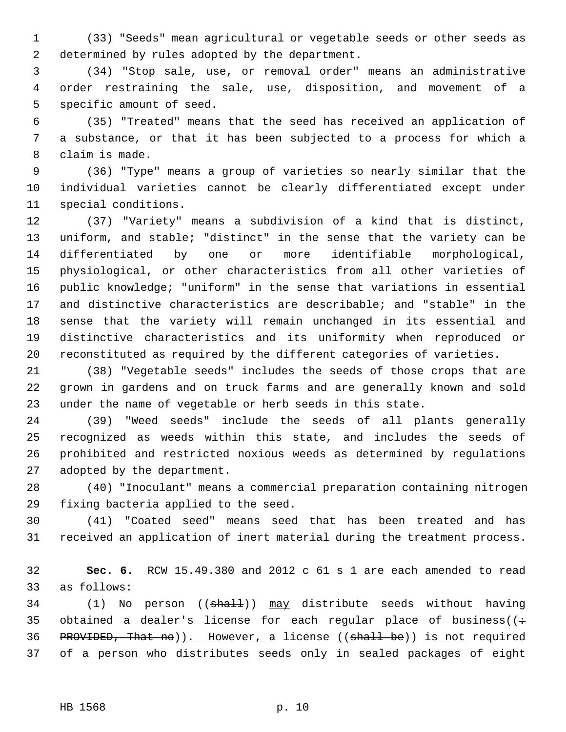1 (33) "Seeds" mean agricultural or vegetable seeds or other seeds as 2 determined by rules adopted by the department.

 3 (34) "Stop sale, use, or removal order" means an administrative 4 order restraining the sale, use, disposition, and movement of a 5 specific amount of seed.

 6 (35) "Treated" means that the seed has received an application of 7 a substance, or that it has been subjected to a process for which a 8 claim is made.

 9 (36) "Type" means a group of varieties so nearly similar that the 10 individual varieties cannot be clearly differentiated except under 11 special conditions.

12 (37) "Variety" means a subdivision of a kind that is distinct, 13 uniform, and stable; "distinct" in the sense that the variety can be 14 differentiated by one or more identifiable morphological, 15 physiological, or other characteristics from all other varieties of 16 public knowledge; "uniform" in the sense that variations in essential 17 and distinctive characteristics are describable; and "stable" in the 18 sense that the variety will remain unchanged in its essential and 19 distinctive characteristics and its uniformity when reproduced or 20 reconstituted as required by the different categories of varieties.

21 (38) "Vegetable seeds" includes the seeds of those crops that are 22 grown in gardens and on truck farms and are generally known and sold 23 under the name of vegetable or herb seeds in this state.

24 (39) "Weed seeds" include the seeds of all plants generally 25 recognized as weeds within this state, and includes the seeds of 26 prohibited and restricted noxious weeds as determined by regulations 27 adopted by the department.

28 (40) "Inoculant" means a commercial preparation containing nitrogen 29 fixing bacteria applied to the seed.

30 (41) "Coated seed" means seed that has been treated and has 31 received an application of inert material during the treatment process.

32 **Sec. 6.** RCW 15.49.380 and 2012 c 61 s 1 are each amended to read 33 as follows:

34 (1) No person ((shall)) may distribute seeds without having 35 obtained a dealer's license for each regular place of business( $($ : 36 PROVIDED, That no)). However, a license ((shall be)) is not required 37 of a person who distributes seeds only in sealed packages of eight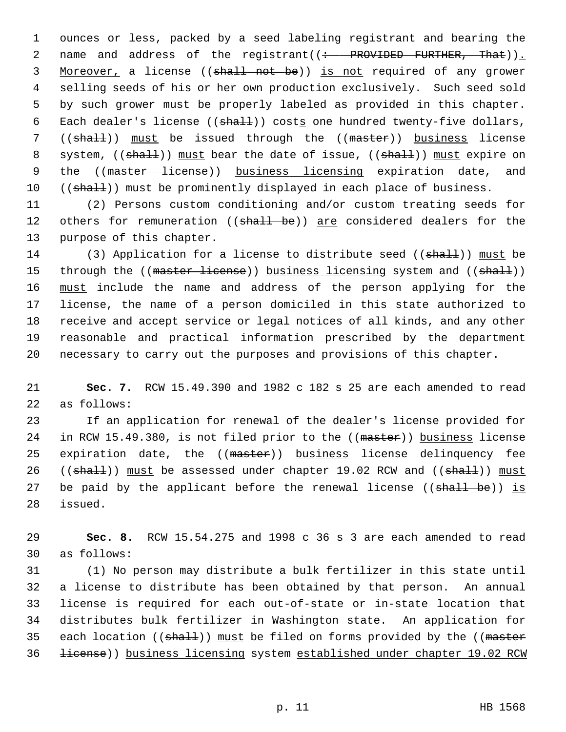1 ounces or less, packed by a seed labeling registrant and bearing the 2 name and address of the registrant((: PROVIDED FURTHER, That)). 3 Moreover, a license ((shall not be)) is not required of any grower 4 selling seeds of his or her own production exclusively. Such seed sold 5 by such grower must be properly labeled as provided in this chapter. 6 Each dealer's license (( $shall$ )) costs one hundred twenty-five dollars, 7 ((shall)) must be issued through the ((master)) business license 8 system, ((shall)) must bear the date of issue, ((shall)) must expire on 9 the ((master license)) business licensing expiration date, and 10 ((shall)) must be prominently displayed in each place of business.

11 (2) Persons custom conditioning and/or custom treating seeds for 12 others for remuneration ((shall be)) are considered dealers for the 13 purpose of this chapter.

14 (3) Application for a license to distribute seed ((shall)) must be 15 through the ((master license)) business licensing system and ((shall)) 16 must include the name and address of the person applying for the 17 license, the name of a person domiciled in this state authorized to 18 receive and accept service or legal notices of all kinds, and any other 19 reasonable and practical information prescribed by the department 20 necessary to carry out the purposes and provisions of this chapter.

21 **Sec. 7.** RCW 15.49.390 and 1982 c 182 s 25 are each amended to read 22 as follows:

23 If an application for renewal of the dealer's license provided for 24 in RCW 15.49.380, is not filed prior to the ((master)) business license 25 expiration date, the ((master)) business license delinquency fee 26 ((shall)) must be assessed under chapter 19.02 RCW and ((shall)) must 27 be paid by the applicant before the renewal license ((shall be)) is 28 issued.

29 **Sec. 8.** RCW 15.54.275 and 1998 c 36 s 3 are each amended to read 30 as follows:

31 (1) No person may distribute a bulk fertilizer in this state until 32 a license to distribute has been obtained by that person. An annual 33 license is required for each out-of-state or in-state location that 34 distributes bulk fertilizer in Washington state. An application for 35 each location  $((\text{sha11}))$  must be filed on forms provided by the  $((\text{master})$ 36 license)) business licensing system established under chapter 19.02 RCW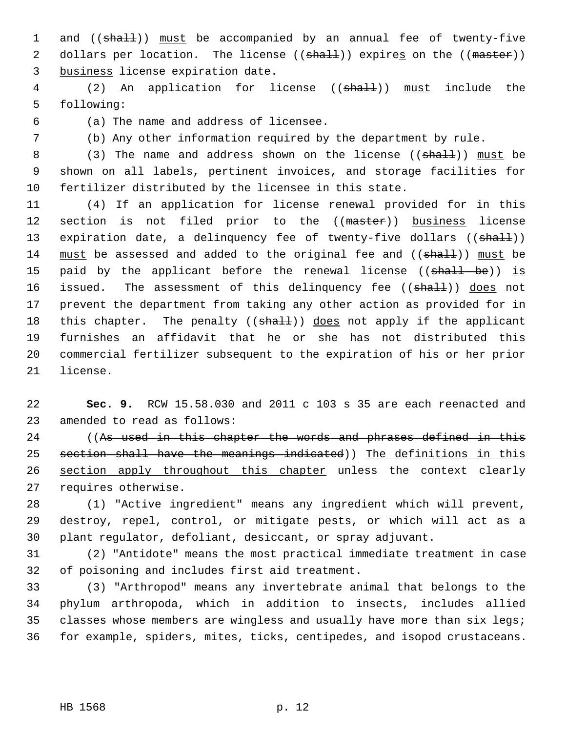1 and ((shall)) must be accompanied by an annual fee of twenty-five 2 dollars per location. The license ((shall)) expires on the ((master)) 3 business license expiration date.

4 (2) An application for license ((shall)) must include the 5 following:

6 (a) The name and address of licensee.

7 (b) Any other information required by the department by rule.

8 (3) The name and address shown on the license ((shall)) must be 9 shown on all labels, pertinent invoices, and storage facilities for 10 fertilizer distributed by the licensee in this state.

11 (4) If an application for license renewal provided for in this 12 section is not filed prior to the ((master)) business license 13 expiration date, a delinquency fee of twenty-five dollars ((shall)) 14 must be assessed and added to the original fee and ((shall)) must be 15 paid by the applicant before the renewal license ((shall be)) is 16 issued. The assessment of this delinquency fee ((shall)) does not 17 prevent the department from taking any other action as provided for in 18 this chapter. The penalty ((shall)) does not apply if the applicant 19 furnishes an affidavit that he or she has not distributed this 20 commercial fertilizer subsequent to the expiration of his or her prior 21 license.

22 **Sec. 9.** RCW 15.58.030 and 2011 c 103 s 35 are each reenacted and 23 amended to read as follows:

24 ((As used in this chapter the words and phrases defined in this 25 section shall have the meanings indicated)) The definitions in this 26 section apply throughout this chapter unless the context clearly 27 requires otherwise.

28 (1) "Active ingredient" means any ingredient which will prevent, 29 destroy, repel, control, or mitigate pests, or which will act as a 30 plant regulator, defoliant, desiccant, or spray adjuvant.

31 (2) "Antidote" means the most practical immediate treatment in case 32 of poisoning and includes first aid treatment.

33 (3) "Arthropod" means any invertebrate animal that belongs to the 34 phylum arthropoda, which in addition to insects, includes allied 35 classes whose members are wingless and usually have more than six legs; 36 for example, spiders, mites, ticks, centipedes, and isopod crustaceans.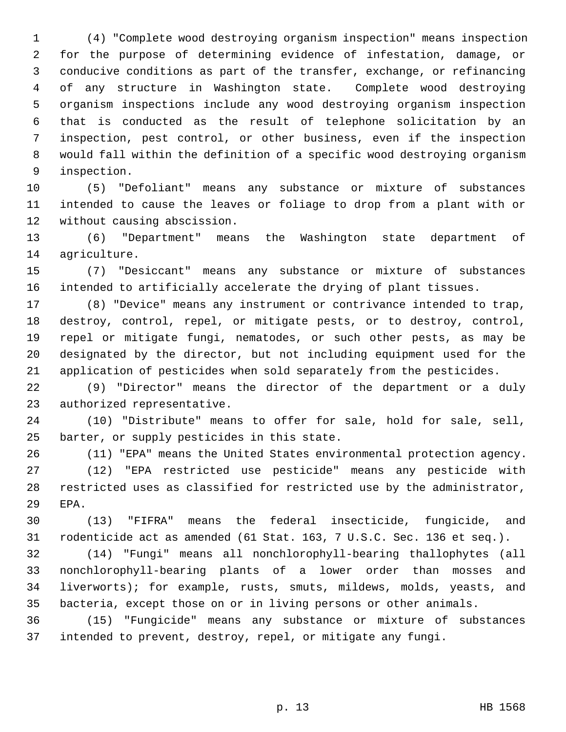1 (4) "Complete wood destroying organism inspection" means inspection 2 for the purpose of determining evidence of infestation, damage, or 3 conducive conditions as part of the transfer, exchange, or refinancing 4 of any structure in Washington state. Complete wood destroying 5 organism inspections include any wood destroying organism inspection 6 that is conducted as the result of telephone solicitation by an 7 inspection, pest control, or other business, even if the inspection 8 would fall within the definition of a specific wood destroying organism 9 inspection.

10 (5) "Defoliant" means any substance or mixture of substances 11 intended to cause the leaves or foliage to drop from a plant with or 12 without causing abscission.

13 (6) "Department" means the Washington state department of 14 agriculture.

15 (7) "Desiccant" means any substance or mixture of substances 16 intended to artificially accelerate the drying of plant tissues.

17 (8) "Device" means any instrument or contrivance intended to trap, 18 destroy, control, repel, or mitigate pests, or to destroy, control, 19 repel or mitigate fungi, nematodes, or such other pests, as may be 20 designated by the director, but not including equipment used for the 21 application of pesticides when sold separately from the pesticides.

22 (9) "Director" means the director of the department or a duly 23 authorized representative.

24 (10) "Distribute" means to offer for sale, hold for sale, sell, 25 barter, or supply pesticides in this state.

26 (11) "EPA" means the United States environmental protection agency. 27 (12) "EPA restricted use pesticide" means any pesticide with 28 restricted uses as classified for restricted use by the administrator, 29 EPA.

30 (13) "FIFRA" means the federal insecticide, fungicide, and 31 rodenticide act as amended (61 Stat. 163, 7 U.S.C. Sec. 136 et seq.).

32 (14) "Fungi" means all nonchlorophyll-bearing thallophytes (all 33 nonchlorophyll-bearing plants of a lower order than mosses and 34 liverworts); for example, rusts, smuts, mildews, molds, yeasts, and 35 bacteria, except those on or in living persons or other animals.

36 (15) "Fungicide" means any substance or mixture of substances 37 intended to prevent, destroy, repel, or mitigate any fungi.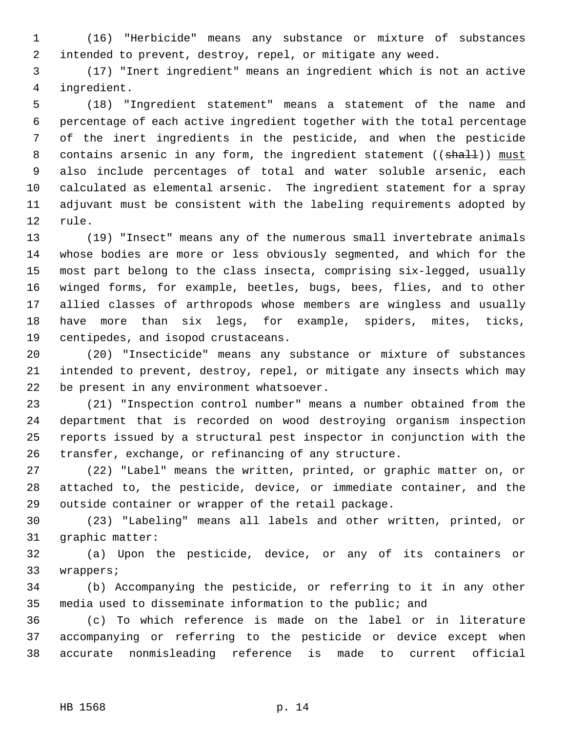1 (16) "Herbicide" means any substance or mixture of substances 2 intended to prevent, destroy, repel, or mitigate any weed.

 3 (17) "Inert ingredient" means an ingredient which is not an active 4 ingredient.

 5 (18) "Ingredient statement" means a statement of the name and 6 percentage of each active ingredient together with the total percentage 7 of the inert ingredients in the pesticide, and when the pesticide 8 contains arsenic in any form, the ingredient statement ((shall)) must 9 also include percentages of total and water soluble arsenic, each 10 calculated as elemental arsenic. The ingredient statement for a spray 11 adjuvant must be consistent with the labeling requirements adopted by 12 rule.

13 (19) "Insect" means any of the numerous small invertebrate animals 14 whose bodies are more or less obviously segmented, and which for the 15 most part belong to the class insecta, comprising six-legged, usually 16 winged forms, for example, beetles, bugs, bees, flies, and to other 17 allied classes of arthropods whose members are wingless and usually 18 have more than six legs, for example, spiders, mites, ticks, 19 centipedes, and isopod crustaceans.

20 (20) "Insecticide" means any substance or mixture of substances 21 intended to prevent, destroy, repel, or mitigate any insects which may 22 be present in any environment whatsoever.

23 (21) "Inspection control number" means a number obtained from the 24 department that is recorded on wood destroying organism inspection 25 reports issued by a structural pest inspector in conjunction with the 26 transfer, exchange, or refinancing of any structure.

27 (22) "Label" means the written, printed, or graphic matter on, or 28 attached to, the pesticide, device, or immediate container, and the 29 outside container or wrapper of the retail package.

30 (23) "Labeling" means all labels and other written, printed, or 31 graphic matter:

32 (a) Upon the pesticide, device, or any of its containers or 33 wrappers;

34 (b) Accompanying the pesticide, or referring to it in any other 35 media used to disseminate information to the public; and

36 (c) To which reference is made on the label or in literature 37 accompanying or referring to the pesticide or device except when 38 accurate nonmisleading reference is made to current official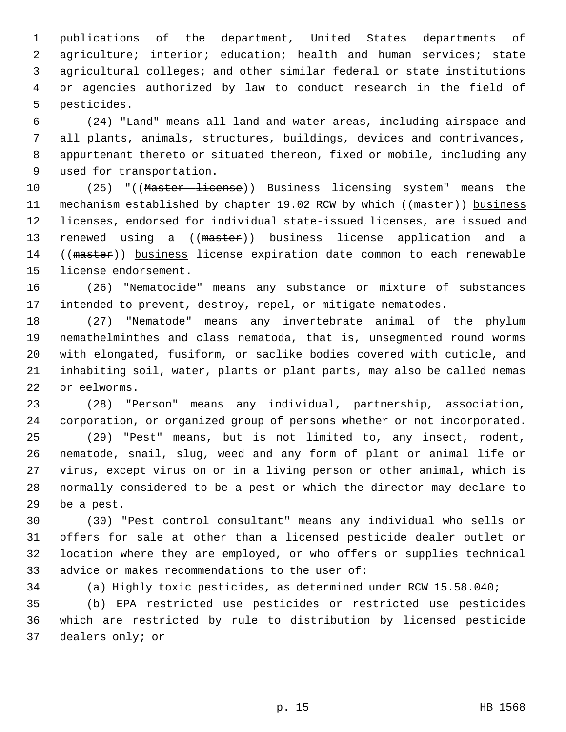1 publications of the department, United States departments of 2 agriculture; interior; education; health and human services; state 3 agricultural colleges; and other similar federal or state institutions 4 or agencies authorized by law to conduct research in the field of 5 pesticides.

 6 (24) "Land" means all land and water areas, including airspace and 7 all plants, animals, structures, buildings, devices and contrivances, 8 appurtenant thereto or situated thereon, fixed or mobile, including any 9 used for transportation.

10 (25) "((Master license)) Business licensing system" means the 11 mechanism established by chapter 19.02 RCW by which ((master)) business 12 licenses, endorsed for individual state-issued licenses, are issued and 13 renewed using a ((master)) business license application and a 14 ((master)) business license expiration date common to each renewable 15 license endorsement.

16 (26) "Nematocide" means any substance or mixture of substances 17 intended to prevent, destroy, repel, or mitigate nematodes.

18 (27) "Nematode" means any invertebrate animal of the phylum 19 nemathelminthes and class nematoda, that is, unsegmented round worms 20 with elongated, fusiform, or saclike bodies covered with cuticle, and 21 inhabiting soil, water, plants or plant parts, may also be called nemas 22 or eelworms.

23 (28) "Person" means any individual, partnership, association, 24 corporation, or organized group of persons whether or not incorporated.

25 (29) "Pest" means, but is not limited to, any insect, rodent, 26 nematode, snail, slug, weed and any form of plant or animal life or 27 virus, except virus on or in a living person or other animal, which is 28 normally considered to be a pest or which the director may declare to 29 be a pest.

30 (30) "Pest control consultant" means any individual who sells or 31 offers for sale at other than a licensed pesticide dealer outlet or 32 location where they are employed, or who offers or supplies technical 33 advice or makes recommendations to the user of:

34 (a) Highly toxic pesticides, as determined under RCW 15.58.040;

35 (b) EPA restricted use pesticides or restricted use pesticides 36 which are restricted by rule to distribution by licensed pesticide 37 dealers only; or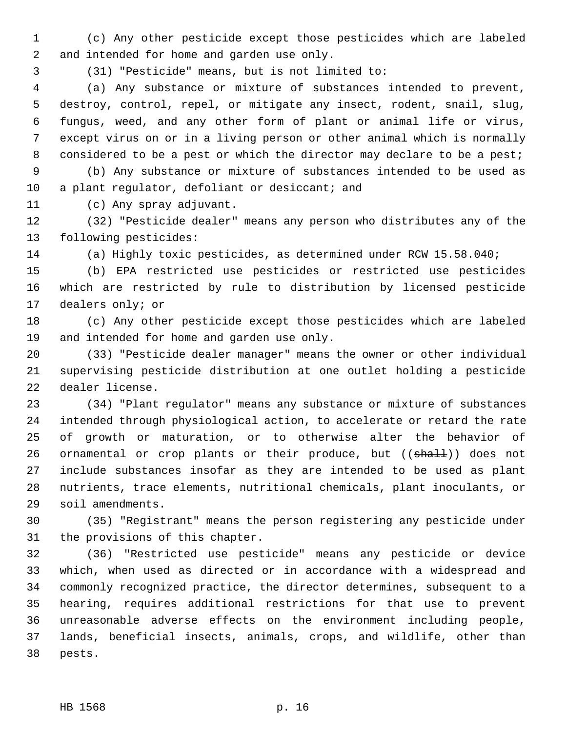1 (c) Any other pesticide except those pesticides which are labeled 2 and intended for home and garden use only.

3 (31) "Pesticide" means, but is not limited to:

 4 (a) Any substance or mixture of substances intended to prevent, 5 destroy, control, repel, or mitigate any insect, rodent, snail, slug, 6 fungus, weed, and any other form of plant or animal life or virus, 7 except virus on or in a living person or other animal which is normally 8 considered to be a pest or which the director may declare to be a pest;

 9 (b) Any substance or mixture of substances intended to be used as 10 a plant regulator, defoliant or desiccant; and

11 (c) Any spray adjuvant.

12 (32) "Pesticide dealer" means any person who distributes any of the 13 following pesticides:

14 (a) Highly toxic pesticides, as determined under RCW 15.58.040;

15 (b) EPA restricted use pesticides or restricted use pesticides 16 which are restricted by rule to distribution by licensed pesticide 17 dealers only; or

18 (c) Any other pesticide except those pesticides which are labeled 19 and intended for home and garden use only.

20 (33) "Pesticide dealer manager" means the owner or other individual 21 supervising pesticide distribution at one outlet holding a pesticide 22 dealer license.

23 (34) "Plant regulator" means any substance or mixture of substances 24 intended through physiological action, to accelerate or retard the rate 25 of growth or maturation, or to otherwise alter the behavior of 26 ornamental or crop plants or their produce, but ((shall)) does not 27 include substances insofar as they are intended to be used as plant 28 nutrients, trace elements, nutritional chemicals, plant inoculants, or 29 soil amendments.

30 (35) "Registrant" means the person registering any pesticide under 31 the provisions of this chapter.

32 (36) "Restricted use pesticide" means any pesticide or device 33 which, when used as directed or in accordance with a widespread and 34 commonly recognized practice, the director determines, subsequent to a 35 hearing, requires additional restrictions for that use to prevent 36 unreasonable adverse effects on the environment including people, 37 lands, beneficial insects, animals, crops, and wildlife, other than 38 pests.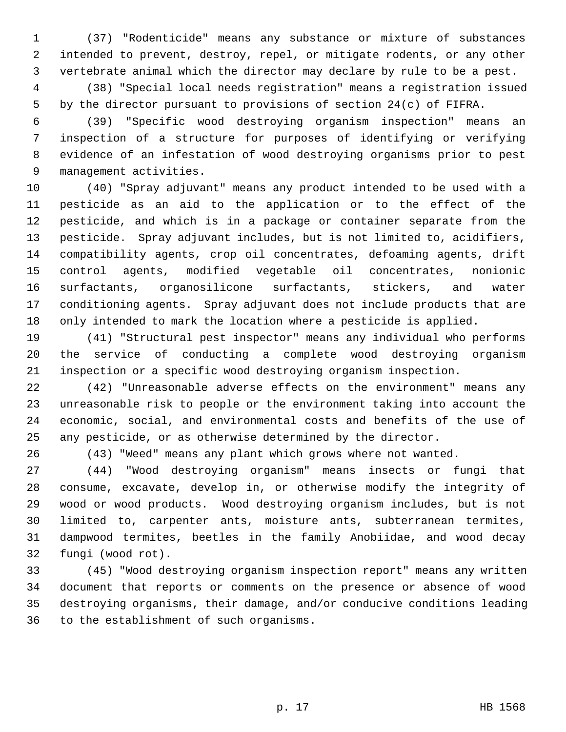1 (37) "Rodenticide" means any substance or mixture of substances 2 intended to prevent, destroy, repel, or mitigate rodents, or any other 3 vertebrate animal which the director may declare by rule to be a pest.

 4 (38) "Special local needs registration" means a registration issued 5 by the director pursuant to provisions of section 24(c) of FIFRA.

 6 (39) "Specific wood destroying organism inspection" means an 7 inspection of a structure for purposes of identifying or verifying 8 evidence of an infestation of wood destroying organisms prior to pest 9 management activities.

10 (40) "Spray adjuvant" means any product intended to be used with a 11 pesticide as an aid to the application or to the effect of the 12 pesticide, and which is in a package or container separate from the 13 pesticide. Spray adjuvant includes, but is not limited to, acidifiers, 14 compatibility agents, crop oil concentrates, defoaming agents, drift 15 control agents, modified vegetable oil concentrates, nonionic 16 surfactants, organosilicone surfactants, stickers, and water 17 conditioning agents. Spray adjuvant does not include products that are 18 only intended to mark the location where a pesticide is applied.

19 (41) "Structural pest inspector" means any individual who performs 20 the service of conducting a complete wood destroying organism 21 inspection or a specific wood destroying organism inspection.

22 (42) "Unreasonable adverse effects on the environment" means any 23 unreasonable risk to people or the environment taking into account the 24 economic, social, and environmental costs and benefits of the use of 25 any pesticide, or as otherwise determined by the director.

26 (43) "Weed" means any plant which grows where not wanted.

27 (44) "Wood destroying organism" means insects or fungi that 28 consume, excavate, develop in, or otherwise modify the integrity of 29 wood or wood products. Wood destroying organism includes, but is not 30 limited to, carpenter ants, moisture ants, subterranean termites, 31 dampwood termites, beetles in the family Anobiidae, and wood decay 32 fungi (wood rot).

33 (45) "Wood destroying organism inspection report" means any written 34 document that reports or comments on the presence or absence of wood 35 destroying organisms, their damage, and/or conducive conditions leading 36 to the establishment of such organisms.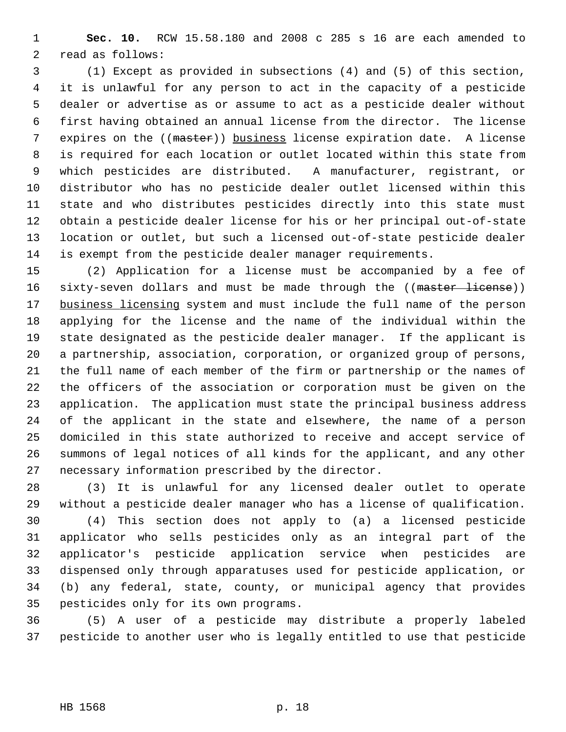1 **Sec. 10.** RCW 15.58.180 and 2008 c 285 s 16 are each amended to 2 read as follows:

 3 (1) Except as provided in subsections (4) and (5) of this section, 4 it is unlawful for any person to act in the capacity of a pesticide 5 dealer or advertise as or assume to act as a pesticide dealer without 6 first having obtained an annual license from the director. The license 7 expires on the ((master)) business license expiration date. A license 8 is required for each location or outlet located within this state from 9 which pesticides are distributed. A manufacturer, registrant, or 10 distributor who has no pesticide dealer outlet licensed within this 11 state and who distributes pesticides directly into this state must 12 obtain a pesticide dealer license for his or her principal out-of-state 13 location or outlet, but such a licensed out-of-state pesticide dealer 14 is exempt from the pesticide dealer manager requirements.

15 (2) Application for a license must be accompanied by a fee of 16 sixty-seven dollars and must be made through the ((master license)) 17 business licensing system and must include the full name of the person 18 applying for the license and the name of the individual within the 19 state designated as the pesticide dealer manager. If the applicant is 20 a partnership, association, corporation, or organized group of persons, 21 the full name of each member of the firm or partnership or the names of 22 the officers of the association or corporation must be given on the 23 application. The application must state the principal business address 24 of the applicant in the state and elsewhere, the name of a person 25 domiciled in this state authorized to receive and accept service of 26 summons of legal notices of all kinds for the applicant, and any other 27 necessary information prescribed by the director.

28 (3) It is unlawful for any licensed dealer outlet to operate 29 without a pesticide dealer manager who has a license of qualification.

30 (4) This section does not apply to (a) a licensed pesticide 31 applicator who sells pesticides only as an integral part of the 32 applicator's pesticide application service when pesticides are 33 dispensed only through apparatuses used for pesticide application, or 34 (b) any federal, state, county, or municipal agency that provides 35 pesticides only for its own programs.

36 (5) A user of a pesticide may distribute a properly labeled 37 pesticide to another user who is legally entitled to use that pesticide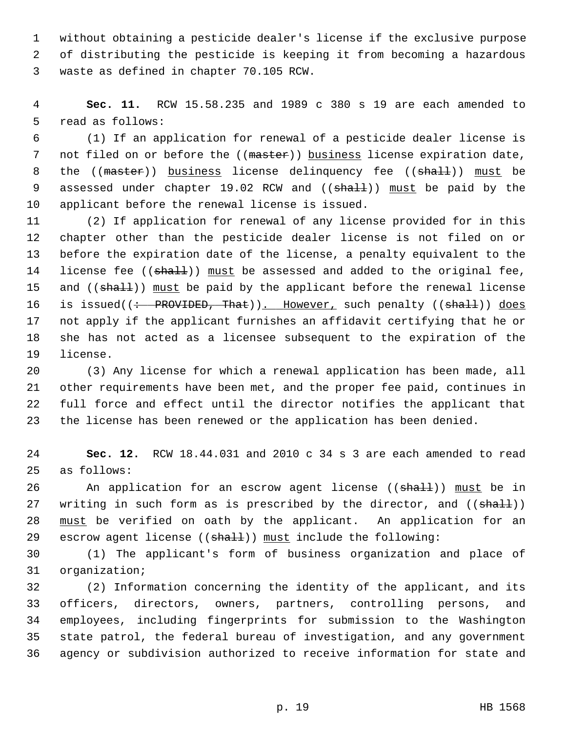1 without obtaining a pesticide dealer's license if the exclusive purpose 2 of distributing the pesticide is keeping it from becoming a hazardous 3 waste as defined in chapter 70.105 RCW.

 4 **Sec. 11.** RCW 15.58.235 and 1989 c 380 s 19 are each amended to 5 read as follows:

 6 (1) If an application for renewal of a pesticide dealer license is 7 not filed on or before the ((master)) business license expiration date, 8 the ((master)) business license delinquency fee ((shall)) must be 9 assessed under chapter 19.02 RCW and ((shall)) must be paid by the 10 applicant before the renewal license is issued.

11 (2) If application for renewal of any license provided for in this 12 chapter other than the pesticide dealer license is not filed on or 13 before the expiration date of the license, a penalty equivalent to the 14 license fee  $((shath))$  must be assessed and added to the original fee, 15 and ((shall)) must be paid by the applicant before the renewal license 16 is issued((: PROVIDED, That)). However, such penalty ((shall)) does 17 not apply if the applicant furnishes an affidavit certifying that he or 18 she has not acted as a licensee subsequent to the expiration of the 19 license.

20 (3) Any license for which a renewal application has been made, all 21 other requirements have been met, and the proper fee paid, continues in 22 full force and effect until the director notifies the applicant that 23 the license has been renewed or the application has been denied.

24 **Sec. 12.** RCW 18.44.031 and 2010 c 34 s 3 are each amended to read 25 as follows:

26 An application for an escrow agent license ((shall)) must be in 27 writing in such form as is prescribed by the director, and  $((shall))$ 28 must be verified on oath by the applicant. An application for an 29 escrow agent license (( $shall$ )) must include the following:

30 (1) The applicant's form of business organization and place of 31 organization;

32 (2) Information concerning the identity of the applicant, and its 33 officers, directors, owners, partners, controlling persons, and 34 employees, including fingerprints for submission to the Washington 35 state patrol, the federal bureau of investigation, and any government 36 agency or subdivision authorized to receive information for state and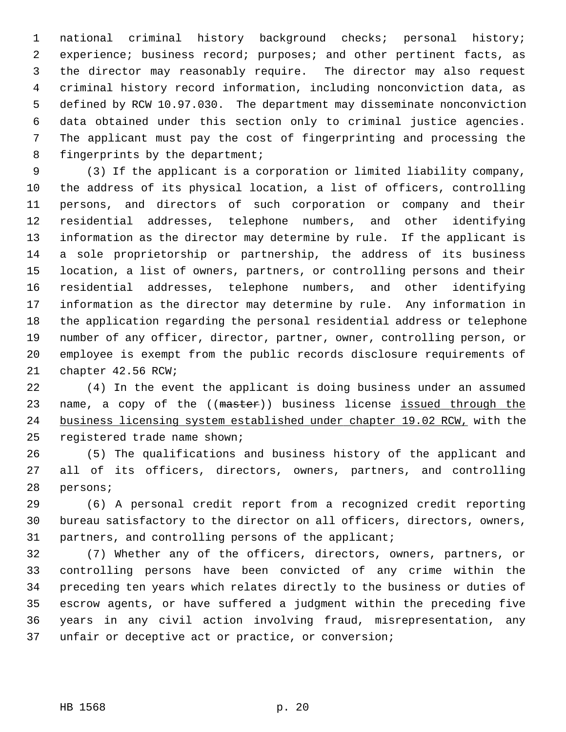1 national criminal history background checks; personal history; 2 experience; business record; purposes; and other pertinent facts, as 3 the director may reasonably require. The director may also request 4 criminal history record information, including nonconviction data, as 5 defined by RCW 10.97.030. The department may disseminate nonconviction 6 data obtained under this section only to criminal justice agencies. 7 The applicant must pay the cost of fingerprinting and processing the 8 fingerprints by the department;

 9 (3) If the applicant is a corporation or limited liability company, 10 the address of its physical location, a list of officers, controlling 11 persons, and directors of such corporation or company and their 12 residential addresses, telephone numbers, and other identifying 13 information as the director may determine by rule. If the applicant is 14 a sole proprietorship or partnership, the address of its business 15 location, a list of owners, partners, or controlling persons and their 16 residential addresses, telephone numbers, and other identifying 17 information as the director may determine by rule. Any information in 18 the application regarding the personal residential address or telephone 19 number of any officer, director, partner, owner, controlling person, or 20 employee is exempt from the public records disclosure requirements of 21 chapter 42.56 RCW;

22 (4) In the event the applicant is doing business under an assumed 23 name, a copy of the ((master)) business license issued through the 24 business licensing system established under chapter 19.02 RCW, with the 25 registered trade name shown;

26 (5) The qualifications and business history of the applicant and 27 all of its officers, directors, owners, partners, and controlling 28 persons;

29 (6) A personal credit report from a recognized credit reporting 30 bureau satisfactory to the director on all officers, directors, owners, 31 partners, and controlling persons of the applicant;

32 (7) Whether any of the officers, directors, owners, partners, or 33 controlling persons have been convicted of any crime within the 34 preceding ten years which relates directly to the business or duties of 35 escrow agents, or have suffered a judgment within the preceding five 36 years in any civil action involving fraud, misrepresentation, any 37 unfair or deceptive act or practice, or conversion;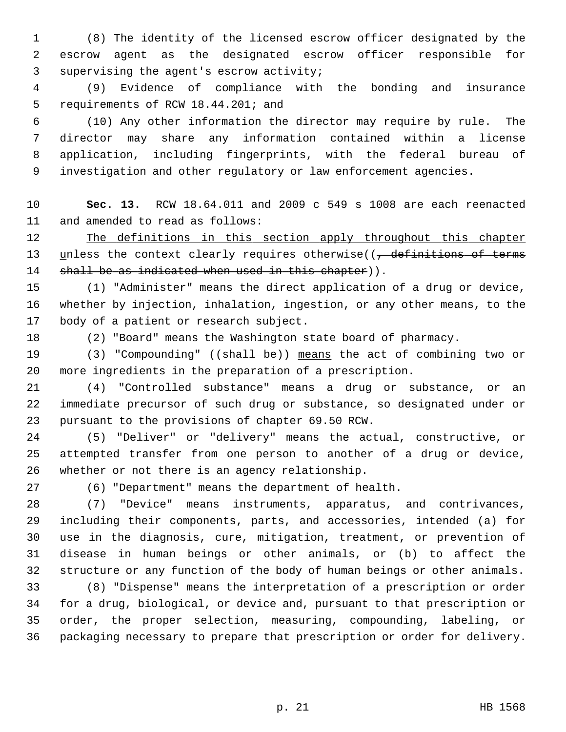1 (8) The identity of the licensed escrow officer designated by the 2 escrow agent as the designated escrow officer responsible for 3 supervising the agent's escrow activity;

 4 (9) Evidence of compliance with the bonding and insurance 5 requirements of RCW 18.44.201; and

 6 (10) Any other information the director may require by rule. The 7 director may share any information contained within a license 8 application, including fingerprints, with the federal bureau of 9 investigation and other regulatory or law enforcement agencies.

10 **Sec. 13.** RCW 18.64.011 and 2009 c 549 s 1008 are each reenacted 11 and amended to read as follows:

12 The definitions in this section apply throughout this chapter 13 unless the context clearly requires otherwise((<del>, definitions of terms</del> 14 shall be as indicated when used in this chapter)).

15 (1) "Administer" means the direct application of a drug or device, 16 whether by injection, inhalation, ingestion, or any other means, to the 17 body of a patient or research subject.

18 (2) "Board" means the Washington state board of pharmacy.

19 (3) "Compounding" ((shall be)) means the act of combining two or 20 more ingredients in the preparation of a prescription.

21 (4) "Controlled substance" means a drug or substance, or an 22 immediate precursor of such drug or substance, so designated under or 23 pursuant to the provisions of chapter 69.50 RCW.

24 (5) "Deliver" or "delivery" means the actual, constructive, or 25 attempted transfer from one person to another of a drug or device, 26 whether or not there is an agency relationship.

27 (6) "Department" means the department of health.

28 (7) "Device" means instruments, apparatus, and contrivances, 29 including their components, parts, and accessories, intended (a) for 30 use in the diagnosis, cure, mitigation, treatment, or prevention of 31 disease in human beings or other animals, or (b) to affect the 32 structure or any function of the body of human beings or other animals.

33 (8) "Dispense" means the interpretation of a prescription or order 34 for a drug, biological, or device and, pursuant to that prescription or 35 order, the proper selection, measuring, compounding, labeling, or 36 packaging necessary to prepare that prescription or order for delivery.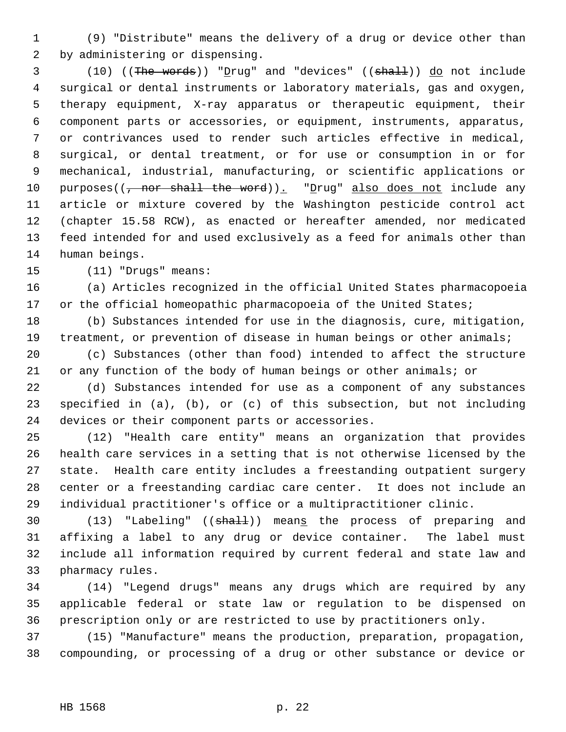1 (9) "Distribute" means the delivery of a drug or device other than 2 by administering or dispensing.

3 (10) ((The words)) "Drug" and "devices" ((shall)) do not include 4 surgical or dental instruments or laboratory materials, gas and oxygen, 5 therapy equipment, X-ray apparatus or therapeutic equipment, their 6 component parts or accessories, or equipment, instruments, apparatus, 7 or contrivances used to render such articles effective in medical, 8 surgical, or dental treatment, or for use or consumption in or for 9 mechanical, industrial, manufacturing, or scientific applications or 10 purposes( $\left(\frac{1}{1} \text{ nor shall the word}\right)$ ). "Drug" also does not include any 11 article or mixture covered by the Washington pesticide control act 12 (chapter 15.58 RCW), as enacted or hereafter amended, nor medicated 13 feed intended for and used exclusively as a feed for animals other than 14 human beings.

15 (11) "Drugs" means:

16 (a) Articles recognized in the official United States pharmacopoeia 17 or the official homeopathic pharmacopoeia of the United States;

18 (b) Substances intended for use in the diagnosis, cure, mitigation, 19 treatment, or prevention of disease in human beings or other animals; 20 (c) Substances (other than food) intended to affect the structure 21 or any function of the body of human beings or other animals; or

22 (d) Substances intended for use as a component of any substances 23 specified in (a), (b), or (c) of this subsection, but not including 24 devices or their component parts or accessories.

25 (12) "Health care entity" means an organization that provides 26 health care services in a setting that is not otherwise licensed by the 27 state. Health care entity includes a freestanding outpatient surgery 28 center or a freestanding cardiac care center. It does not include an 29 individual practitioner's office or a multipractitioner clinic.

30 (13) "Labeling" ((shall)) means the process of preparing and 31 affixing a label to any drug or device container. The label must 32 include all information required by current federal and state law and 33 pharmacy rules.

34 (14) "Legend drugs" means any drugs which are required by any 35 applicable federal or state law or regulation to be dispensed on 36 prescription only or are restricted to use by practitioners only.

37 (15) "Manufacture" means the production, preparation, propagation, 38 compounding, or processing of a drug or other substance or device or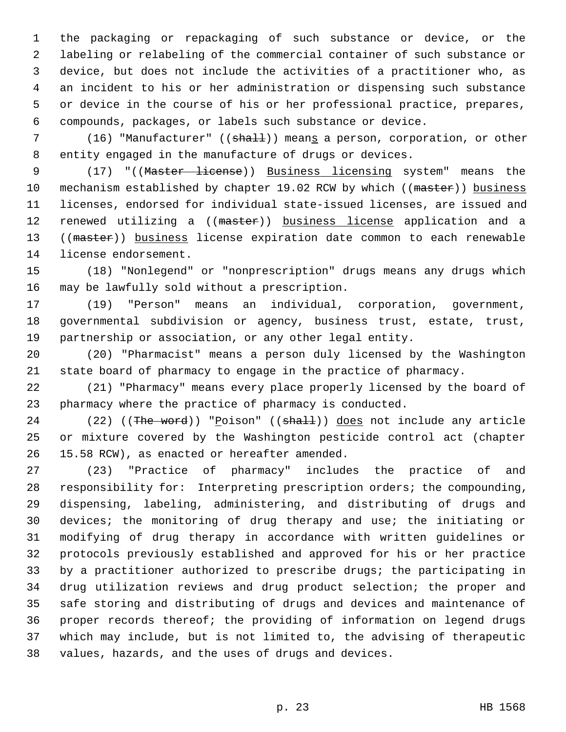1 the packaging or repackaging of such substance or device, or the 2 labeling or relabeling of the commercial container of such substance or 3 device, but does not include the activities of a practitioner who, as 4 an incident to his or her administration or dispensing such substance 5 or device in the course of his or her professional practice, prepares, 6 compounds, packages, or labels such substance or device.

7 (16) "Manufacturer" ((shall)) means a person, corporation, or other 8 entity engaged in the manufacture of drugs or devices.

9 (17) "((Master license)) Business licensing system" means the 10 mechanism established by chapter 19.02 RCW by which ((master)) business 11 licenses, endorsed for individual state-issued licenses, are issued and 12 renewed utilizing a ((master)) business license application and a 13 ((master)) business license expiration date common to each renewable 14 license endorsement.

15 (18) "Nonlegend" or "nonprescription" drugs means any drugs which 16 may be lawfully sold without a prescription.

17 (19) "Person" means an individual, corporation, government, 18 governmental subdivision or agency, business trust, estate, trust, 19 partnership or association, or any other legal entity.

20 (20) "Pharmacist" means a person duly licensed by the Washington 21 state board of pharmacy to engage in the practice of pharmacy.

22 (21) "Pharmacy" means every place properly licensed by the board of 23 pharmacy where the practice of pharmacy is conducted.

24 (22) ((The word)) "Poison" ((shall)) does not include any article 25 or mixture covered by the Washington pesticide control act (chapter 26 15.58 RCW), as enacted or hereafter amended.

27 (23) "Practice of pharmacy" includes the practice of and 28 responsibility for: Interpreting prescription orders; the compounding, 29 dispensing, labeling, administering, and distributing of drugs and 30 devices; the monitoring of drug therapy and use; the initiating or 31 modifying of drug therapy in accordance with written guidelines or 32 protocols previously established and approved for his or her practice 33 by a practitioner authorized to prescribe drugs; the participating in 34 drug utilization reviews and drug product selection; the proper and 35 safe storing and distributing of drugs and devices and maintenance of 36 proper records thereof; the providing of information on legend drugs 37 which may include, but is not limited to, the advising of therapeutic 38 values, hazards, and the uses of drugs and devices.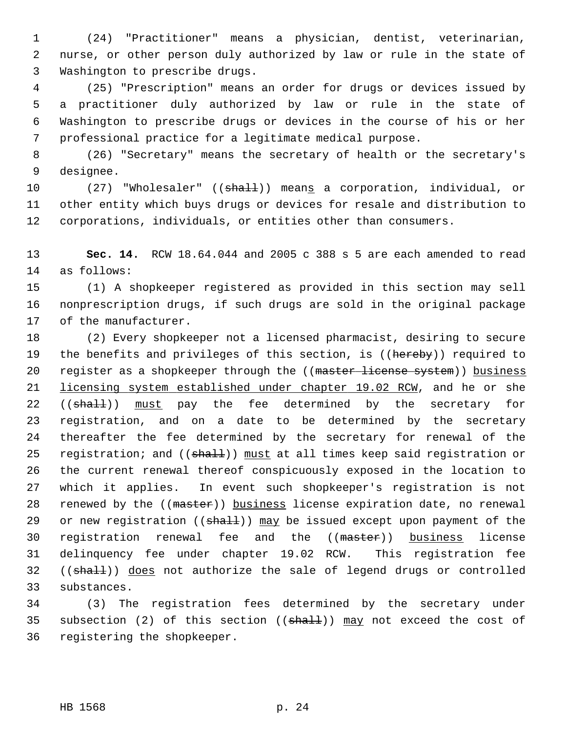1 (24) "Practitioner" means a physician, dentist, veterinarian, 2 nurse, or other person duly authorized by law or rule in the state of 3 Washington to prescribe drugs.

 4 (25) "Prescription" means an order for drugs or devices issued by 5 a practitioner duly authorized by law or rule in the state of 6 Washington to prescribe drugs or devices in the course of his or her 7 professional practice for a legitimate medical purpose.

 8 (26) "Secretary" means the secretary of health or the secretary's 9 designee.

10 (27) "Wholesaler" ((shall)) means a corporation, individual, or 11 other entity which buys drugs or devices for resale and distribution to 12 corporations, individuals, or entities other than consumers.

13 **Sec. 14.** RCW 18.64.044 and 2005 c 388 s 5 are each amended to read 14 as follows:

15 (1) A shopkeeper registered as provided in this section may sell 16 nonprescription drugs, if such drugs are sold in the original package 17 of the manufacturer.

18 (2) Every shopkeeper not a licensed pharmacist, desiring to secure 19 the benefits and privileges of this section, is ((hereby)) required to 20 register as a shopkeeper through the ((master license system)) business 21 licensing system established under chapter 19.02 RCW, and he or she 22 ((shall)) must pay the fee determined by the secretary for 23 registration, and on a date to be determined by the secretary 24 thereafter the fee determined by the secretary for renewal of the 25 registration; and ((shall)) must at all times keep said registration or 26 the current renewal thereof conspicuously exposed in the location to 27 which it applies. In event such shopkeeper's registration is not 28 renewed by the ((master)) business license expiration date, no renewal 29 or new registration ( $(\text{shall})$ ) may be issued except upon payment of the 30 registration renewal fee and the ((master)) business license 31 delinquency fee under chapter 19.02 RCW. This registration fee 32 ((shall)) does not authorize the sale of legend drugs or controlled 33 substances.

34 (3) The registration fees determined by the secretary under 35 subsection (2) of this section  $((shall))$  may not exceed the cost of 36 registering the shopkeeper.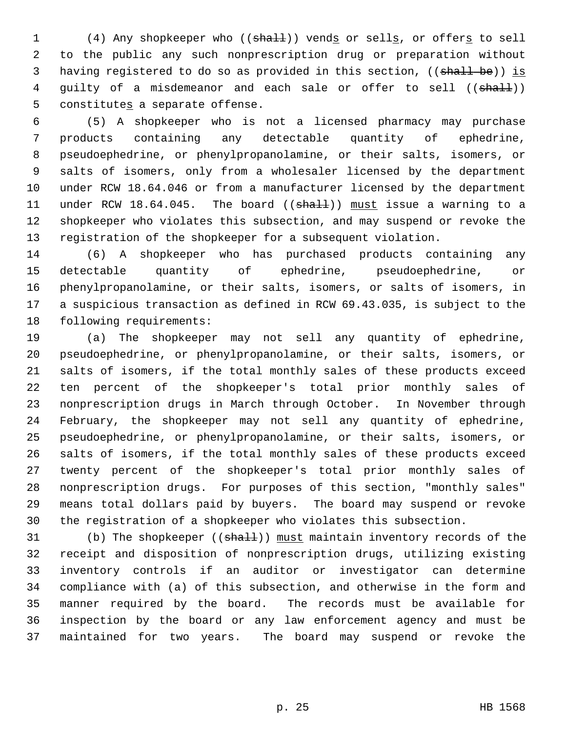1 (4) Any shopkeeper who ((shall)) vends or sells, or offers to sell 2 to the public any such nonprescription drug or preparation without 3 having registered to do so as provided in this section, ((shall be)) is 4 guilty of a misdemeanor and each sale or offer to sell ((shall)) 5 constitutes a separate offense.

 6 (5) A shopkeeper who is not a licensed pharmacy may purchase 7 products containing any detectable quantity of ephedrine, 8 pseudoephedrine, or phenylpropanolamine, or their salts, isomers, or 9 salts of isomers, only from a wholesaler licensed by the department 10 under RCW 18.64.046 or from a manufacturer licensed by the department 11 under RCW 18.64.045. The board ((shall)) must issue a warning to a 12 shopkeeper who violates this subsection, and may suspend or revoke the 13 registration of the shopkeeper for a subsequent violation.

14 (6) A shopkeeper who has purchased products containing any 15 detectable quantity of ephedrine, pseudoephedrine, or 16 phenylpropanolamine, or their salts, isomers, or salts of isomers, in 17 a suspicious transaction as defined in RCW 69.43.035, is subject to the 18 following requirements:

19 (a) The shopkeeper may not sell any quantity of ephedrine, 20 pseudoephedrine, or phenylpropanolamine, or their salts, isomers, or 21 salts of isomers, if the total monthly sales of these products exceed 22 ten percent of the shopkeeper's total prior monthly sales of 23 nonprescription drugs in March through October. In November through 24 February, the shopkeeper may not sell any quantity of ephedrine, 25 pseudoephedrine, or phenylpropanolamine, or their salts, isomers, or 26 salts of isomers, if the total monthly sales of these products exceed 27 twenty percent of the shopkeeper's total prior monthly sales of 28 nonprescription drugs. For purposes of this section, "monthly sales" 29 means total dollars paid by buyers. The board may suspend or revoke 30 the registration of a shopkeeper who violates this subsection.

31 (b) The shopkeeper ((shall)) must maintain inventory records of the 32 receipt and disposition of nonprescription drugs, utilizing existing 33 inventory controls if an auditor or investigator can determine 34 compliance with (a) of this subsection, and otherwise in the form and 35 manner required by the board. The records must be available for 36 inspection by the board or any law enforcement agency and must be 37 maintained for two years. The board may suspend or revoke the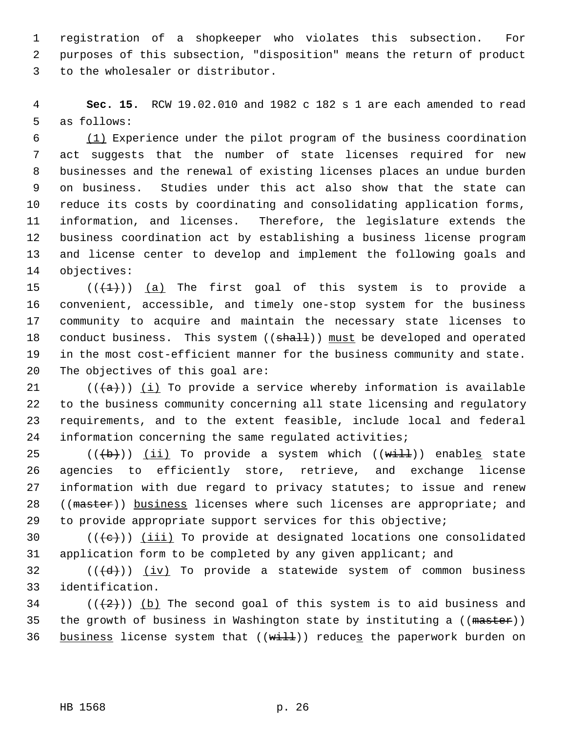1 registration of a shopkeeper who violates this subsection. For 2 purposes of this subsection, "disposition" means the return of product 3 to the wholesaler or distributor.

 4 **Sec. 15.** RCW 19.02.010 and 1982 c 182 s 1 are each amended to read 5 as follows:

 6 (1) Experience under the pilot program of the business coordination 7 act suggests that the number of state licenses required for new 8 businesses and the renewal of existing licenses places an undue burden 9 on business. Studies under this act also show that the state can 10 reduce its costs by coordinating and consolidating application forms, 11 information, and licenses. Therefore, the legislature extends the 12 business coordination act by establishing a business license program 13 and license center to develop and implement the following goals and 14 objectives:

15  $((\{1\})$  (a) The first goal of this system is to provide a 16 convenient, accessible, and timely one-stop system for the business 17 community to acquire and maintain the necessary state licenses to 18 conduct business. This system ((shall)) must be developed and operated 19 in the most cost-efficient manner for the business community and state. 20 The objectives of this goal are:

21 ( $(\overline{a})$ ) (i) To provide a service whereby information is available 22 to the business community concerning all state licensing and regulatory 23 requirements, and to the extent feasible, include local and federal 24 information concerning the same regulated activities;

25 ( $(\overline{b})$ ) (ii) To provide a system which ( $(\overline{with})$ ) enables state 26 agencies to efficiently store, retrieve, and exchange license 27 information with due regard to privacy statutes; to issue and renew 28 ((master)) business licenses where such licenses are appropriate; and 29 to provide appropriate support services for this objective;

30  $((\{e\})$  (iii) To provide at designated locations one consolidated 31 application form to be completed by any given applicant; and

32 ( $(\overline{\{d\}})$ ) (iv) To provide a statewide system of common business 33 identification.

34 ( $(\frac{1}{2})$ ) (b) The second goal of this system is to aid business and 35 the growth of business in Washington state by instituting a ((master)) 36 business license system that  $((with 1))$  reduces the paperwork burden on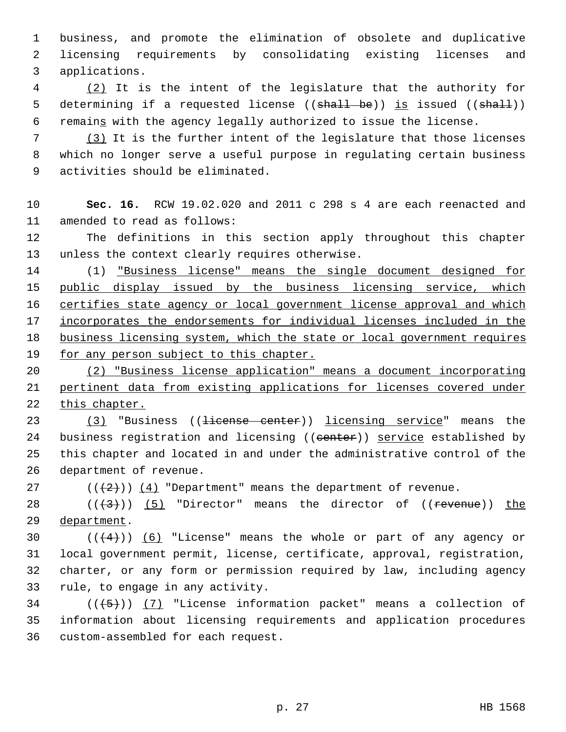1 business, and promote the elimination of obsolete and duplicative 2 licensing requirements by consolidating existing licenses and 3 applications.

 4 (2) It is the intent of the legislature that the authority for 5 determining if a requested license ((shall be)) is issued ((shall)) 6 remains with the agency legally authorized to issue the license.

 7 (3) It is the further intent of the legislature that those licenses 8 which no longer serve a useful purpose in regulating certain business 9 activities should be eliminated.

10 **Sec. 16.** RCW 19.02.020 and 2011 c 298 s 4 are each reenacted and 11 amended to read as follows:

12 The definitions in this section apply throughout this chapter 13 unless the context clearly requires otherwise.

14 (1) "Business license" means the single document designed for 15 public display issued by the business licensing service, which 16 certifies state agency or local government license approval and which 17 incorporates the endorsements for individual licenses included in the 18 business licensing system, which the state or local government requires 19 for any person subject to this chapter.

20 (2) "Business license application" means a document incorporating 21 pertinent data from existing applications for licenses covered under 22 this chapter.

23 (3) "Business ((<del>license center</del>)) licensing service" means the 24 business registration and licensing ((center)) service established by 25 this chapter and located in and under the administrative control of the 26 department of revenue.

27  $((+2))$   $(4)$  "Department" means the department of revenue.

28  $((+3))$  (5) "Director" means the director of ((revenue)) the 29 department.

30  $((4+))$  (6) "License" means the whole or part of any agency or 31 local government permit, license, certificate, approval, registration, 32 charter, or any form or permission required by law, including agency 33 rule, to engage in any activity.

 $34$  ( $(\overline{5})$ ) (7) "License information packet" means a collection of 35 information about licensing requirements and application procedures 36 custom-assembled for each request.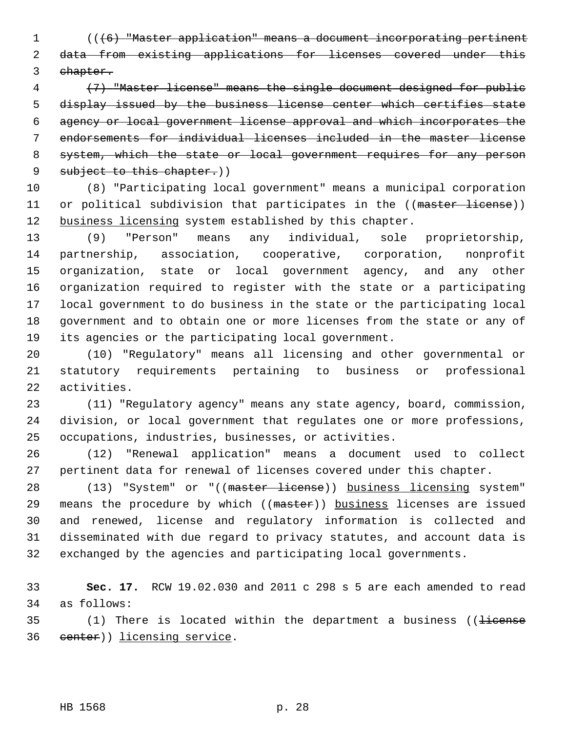1 (((6) "Master application" means a document incorporating pertinent 2 data from existing applications for licenses covered under this 3 chapter.

 (7) "Master license" means the single document designed for public display issued by the business license center which certifies state agency or local government license approval and which incorporates the endorsements for individual licenses included in the master license 8 system, which the state or local government requires for any person 9 subject to this chapter.))

10 (8) "Participating local government" means a municipal corporation 11 or political subdivision that participates in the ((master license)) 12 business licensing system established by this chapter.

13 (9) "Person" means any individual, sole proprietorship, 14 partnership, association, cooperative, corporation, nonprofit 15 organization, state or local government agency, and any other 16 organization required to register with the state or a participating 17 local government to do business in the state or the participating local 18 government and to obtain one or more licenses from the state or any of 19 its agencies or the participating local government.

20 (10) "Regulatory" means all licensing and other governmental or 21 statutory requirements pertaining to business or professional 22 activities.

23 (11) "Regulatory agency" means any state agency, board, commission, 24 division, or local government that regulates one or more professions, 25 occupations, industries, businesses, or activities.

26 (12) "Renewal application" means a document used to collect 27 pertinent data for renewal of licenses covered under this chapter.

28 (13) "System" or "((master license)) business licensing system" 29 means the procedure by which ((master)) business licenses are issued 30 and renewed, license and regulatory information is collected and 31 disseminated with due regard to privacy statutes, and account data is 32 exchanged by the agencies and participating local governments.

33 **Sec. 17.** RCW 19.02.030 and 2011 c 298 s 5 are each amended to read 34 as follows:

 $35$  (1) There is located within the department a business (( $\frac{1}{1}$ 36 center)) licensing service.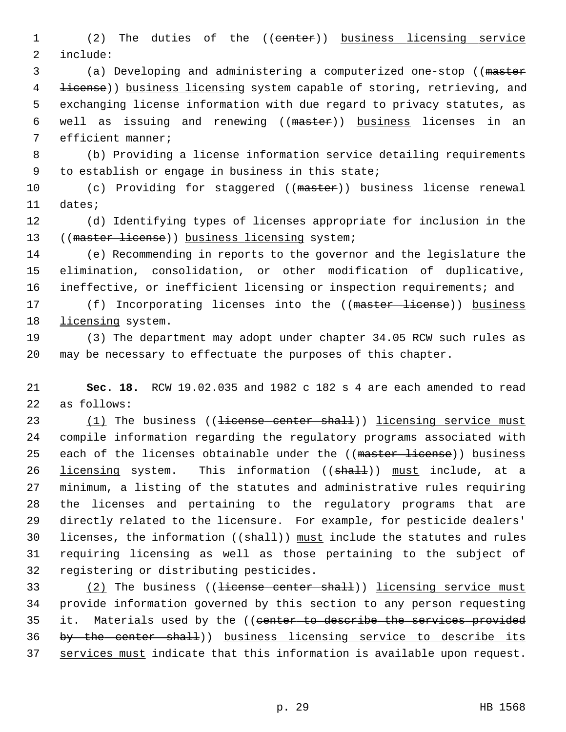1 (2) The duties of the ((center)) business licensing service 2 include:

 3 (a) Developing and administering a computerized one-stop ((master 4 <del>license</del>)) business licensing system capable of storing, retrieving, and 5 exchanging license information with due regard to privacy statutes, as 6 well as issuing and renewing ((master)) business licenses in an 7 efficient manner;

 8 (b) Providing a license information service detailing requirements 9 to establish or engage in business in this state;

10 (c) Providing for staggered ((master)) business license renewal 11 dates;

12 (d) Identifying types of licenses appropriate for inclusion in the 13 ((master license)) business licensing system;

14 (e) Recommending in reports to the governor and the legislature the 15 elimination, consolidation, or other modification of duplicative, 16 ineffective, or inefficient licensing or inspection requirements; and

17 (f) Incorporating licenses into the ((master license)) business 18 licensing system.

19 (3) The department may adopt under chapter 34.05 RCW such rules as 20 may be necessary to effectuate the purposes of this chapter.

21 **Sec. 18.** RCW 19.02.035 and 1982 c 182 s 4 are each amended to read 22 as follows:

23 (1) The business ((<del>license center shall</del>)) licensing service must 24 compile information regarding the regulatory programs associated with 25 each of the licenses obtainable under the ((master license)) business 26 licensing system. This information ((shall)) must include, at a 27 minimum, a listing of the statutes and administrative rules requiring 28 the licenses and pertaining to the regulatory programs that are 29 directly related to the licensure. For example, for pesticide dealers' 30 licenses, the information ((shall)) must include the statutes and rules 31 requiring licensing as well as those pertaining to the subject of 32 registering or distributing pesticides.

33 (2) The business ((<del>license center shall</del>)) licensing service must 34 provide information governed by this section to any person requesting 35 it. Materials used by the ((center to describe the services provided 36 by the center shall)) business licensing service to describe its 37 services must indicate that this information is available upon request.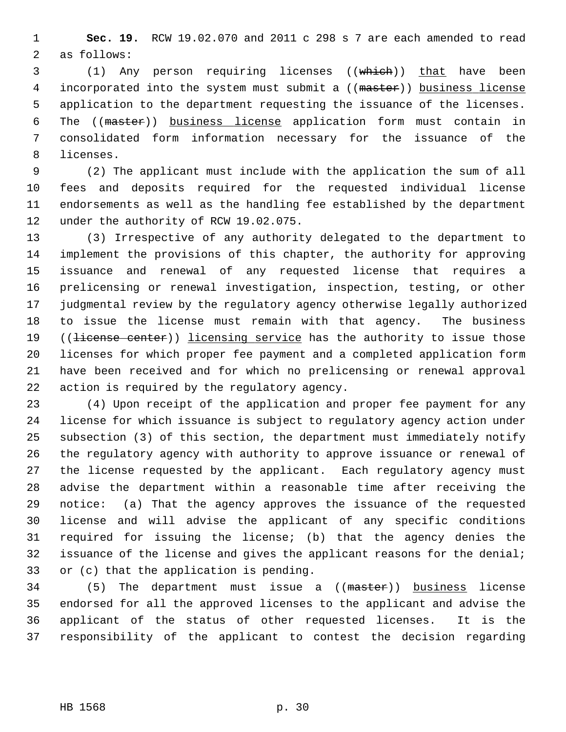1 **Sec. 19.** RCW 19.02.070 and 2011 c 298 s 7 are each amended to read 2 as follows:

 3 (1) Any person requiring licenses ((which)) that have been 4 incorporated into the system must submit a ((master)) business license 5 application to the department requesting the issuance of the licenses. 6 The ((master)) business license application form must contain in 7 consolidated form information necessary for the issuance of the 8 licenses.

 9 (2) The applicant must include with the application the sum of all 10 fees and deposits required for the requested individual license 11 endorsements as well as the handling fee established by the department 12 under the authority of RCW 19.02.075.

13 (3) Irrespective of any authority delegated to the department to 14 implement the provisions of this chapter, the authority for approving 15 issuance and renewal of any requested license that requires a 16 prelicensing or renewal investigation, inspection, testing, or other 17 judgmental review by the regulatory agency otherwise legally authorized 18 to issue the license must remain with that agency. The business 19 ((<del>license center</del>)) licensing service has the authority to issue those 20 licenses for which proper fee payment and a completed application form 21 have been received and for which no prelicensing or renewal approval 22 action is required by the regulatory agency.

23 (4) Upon receipt of the application and proper fee payment for any 24 license for which issuance is subject to regulatory agency action under 25 subsection (3) of this section, the department must immediately notify 26 the regulatory agency with authority to approve issuance or renewal of 27 the license requested by the applicant. Each regulatory agency must 28 advise the department within a reasonable time after receiving the 29 notice: (a) That the agency approves the issuance of the requested 30 license and will advise the applicant of any specific conditions 31 required for issuing the license; (b) that the agency denies the 32 issuance of the license and gives the applicant reasons for the denial; 33 or (c) that the application is pending.

34 (5) The department must issue a ((master)) business license 35 endorsed for all the approved licenses to the applicant and advise the 36 applicant of the status of other requested licenses. It is the 37 responsibility of the applicant to contest the decision regarding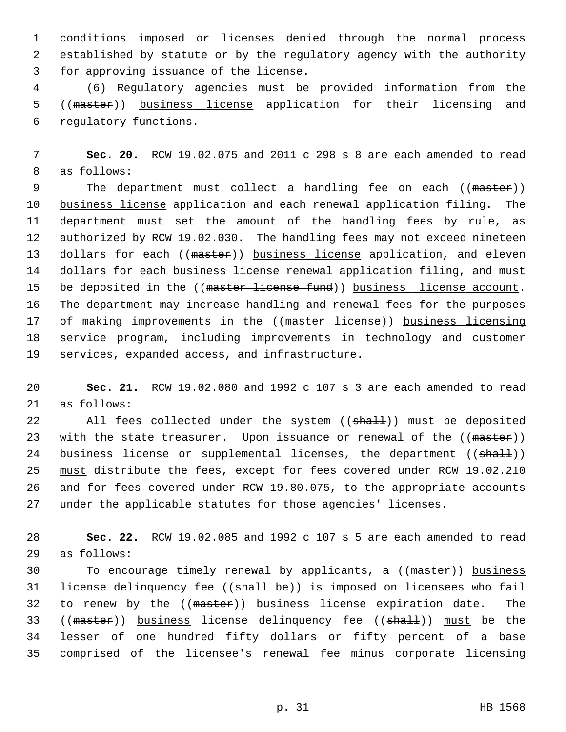1 conditions imposed or licenses denied through the normal process 2 established by statute or by the regulatory agency with the authority 3 for approving issuance of the license.

 4 (6) Regulatory agencies must be provided information from the 5 ((master)) business license application for their licensing and 6 regulatory functions.

 7 **Sec. 20.** RCW 19.02.075 and 2011 c 298 s 8 are each amended to read 8 as follows:

9 The department must collect a handling fee on each ((master)) 10 business license application and each renewal application filing. The 11 department must set the amount of the handling fees by rule, as 12 authorized by RCW 19.02.030. The handling fees may not exceed nineteen 13 dollars for each ((master)) business license application, and eleven 14 dollars for each business license renewal application filing, and must 15 be deposited in the ((master license fund)) business license account. 16 The department may increase handling and renewal fees for the purposes 17 of making improvements in the ((master license)) business licensing 18 service program, including improvements in technology and customer 19 services, expanded access, and infrastructure.

20 **Sec. 21.** RCW 19.02.080 and 1992 c 107 s 3 are each amended to read 21 as follows:

22 All fees collected under the system ((shall)) must be deposited 23 with the state treasurer. Upon issuance or renewal of the ((master)) 24 business license or supplemental licenses, the department  $((shalt))$ 25 must distribute the fees, except for fees covered under RCW 19.02.210 26 and for fees covered under RCW 19.80.075, to the appropriate accounts 27 under the applicable statutes for those agencies' licenses.

28 **Sec. 22.** RCW 19.02.085 and 1992 c 107 s 5 are each amended to read 29 as follows:

30 To encourage timely renewal by applicants, a ((master)) business 31 license delinquency fee ((shall be)) is imposed on licensees who fail 32 to renew by the ((master)) business license expiration date. The 33 ((master)) business license delinquency fee ((shall)) must be the 34 lesser of one hundred fifty dollars or fifty percent of a base 35 comprised of the licensee's renewal fee minus corporate licensing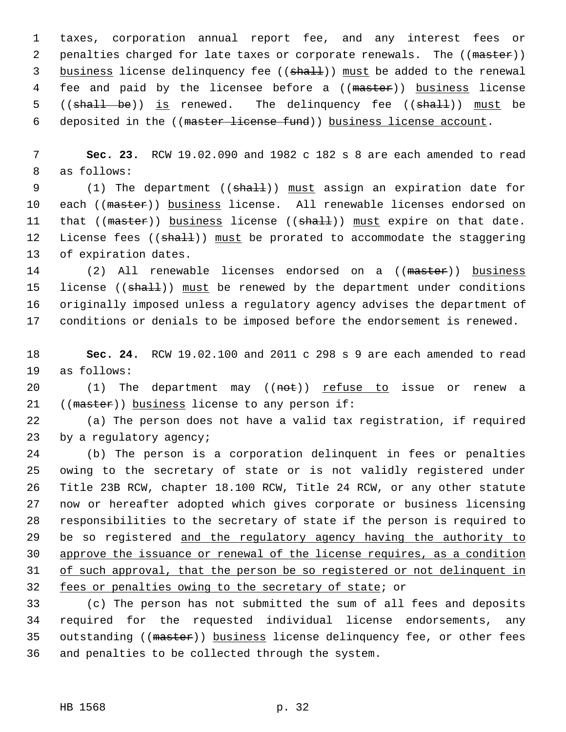1 taxes, corporation annual report fee, and any interest fees or 2 penalties charged for late taxes or corporate renewals. The ((master)) 3 business license delinquency fee ((shall)) must be added to the renewal 4 fee and paid by the licensee before a ((master)) business license 5 ((shall be)) is renewed. The delinquency fee ((shall)) must be 6 deposited in the ((master license fund)) business license account.

 7 **Sec. 23.** RCW 19.02.090 and 1982 c 182 s 8 are each amended to read 8 as follows:

9 (1) The department ((shall)) must assign an expiration date for 10 each ((master)) business license. All renewable licenses endorsed on 11 that  $((\text{master}) )$  business license  $((\text{shall}) )$  must expire on that date. 12 License fees ((shall)) must be prorated to accommodate the staggering 13 of expiration dates.

14 (2) All renewable licenses endorsed on a ((master)) business 15 license ((shall)) must be renewed by the department under conditions 16 originally imposed unless a regulatory agency advises the department of 17 conditions or denials to be imposed before the endorsement is renewed.

18 **Sec. 24.** RCW 19.02.100 and 2011 c 298 s 9 are each amended to read 19 as follows:

20  $(1)$  The department may  $((not))$  refuse to issue or renew a 21 ((master)) business license to any person if:

22 (a) The person does not have a valid tax registration, if required 23 by a regulatory agency;

24 (b) The person is a corporation delinquent in fees or penalties 25 owing to the secretary of state or is not validly registered under 26 Title 23B RCW, chapter 18.100 RCW, Title 24 RCW, or any other statute 27 now or hereafter adopted which gives corporate or business licensing 28 responsibilities to the secretary of state if the person is required to 29 be so registered and the regulatory agency having the authority to 30 approve the issuance or renewal of the license requires, as a condition 31 of such approval, that the person be so registered or not delinquent in 32 fees or penalties owing to the secretary of state; or

33 (c) The person has not submitted the sum of all fees and deposits 34 required for the requested individual license endorsements, any 35 outstanding ((master)) business license delinquency fee, or other fees 36 and penalties to be collected through the system.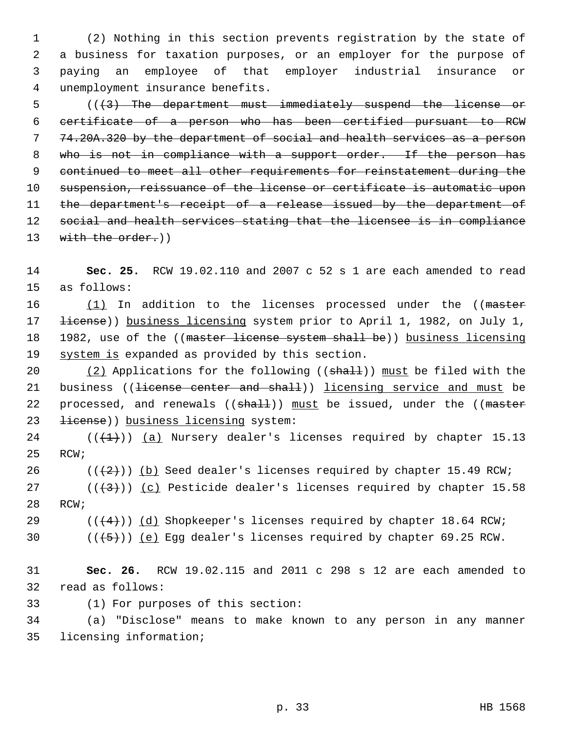1 (2) Nothing in this section prevents registration by the state of 2 a business for taxation purposes, or an employer for the purpose of 3 paying an employee of that employer industrial insurance or 4 unemployment insurance benefits.

 5 (((3) The department must immediately suspend the license or 6 certificate of a person who has been certified pursuant to RCW 7 74.20A.320 by the department of social and health services as a person 8 who is not in compliance with a support order. If the person has 9 continued to meet all other requirements for reinstatement during the 10 suspension, reissuance of the license or certificate is automatic upon 11 the department's receipt of a release issued by the department of 12 social and health services stating that the licensee is in compliance 13 with the order.))

14 **Sec. 25.** RCW 19.02.110 and 2007 c 52 s 1 are each amended to read 15 as follows:

16 (1) In addition to the licenses processed under the ((master 17 <del>license</del>)) business licensing system prior to April 1, 1982, on July 1, 18 1982, use of the ((master license system shall be)) business licensing 19 system is expanded as provided by this section.

20 (2) Applications for the following ((shall)) must be filed with the 21 business ((<del>license center and shall</del>)) <u>licensing service and must</u> be 22 processed, and renewals  $((sha11))$  must be issued, under the  $((master)$ 23 <del>license</del>)) business licensing system:

24 ( $(\overline{+1})$ ) (a) Nursery dealer's licenses required by chapter 15.13 25 RCW;

26 ( $(\frac{2}{2})$ ) (b) Seed dealer's licenses required by chapter 15.49 RCW;

27 ( $(\frac{43}{})$ ) (c) Pesticide dealer's licenses required by chapter 15.58 28 RCW;

29 ( $(\frac{4}{4})$ ) (d) Shopkeeper's licenses required by chapter 18.64 RCW;

30  $((+5))$  (e) Egg dealer's licenses required by chapter 69.25 RCW.

31 **Sec. 26.** RCW 19.02.115 and 2011 c 298 s 12 are each amended to 32 read as follows:

33 (1) For purposes of this section:

34 (a) "Disclose" means to make known to any person in any manner 35 licensing information;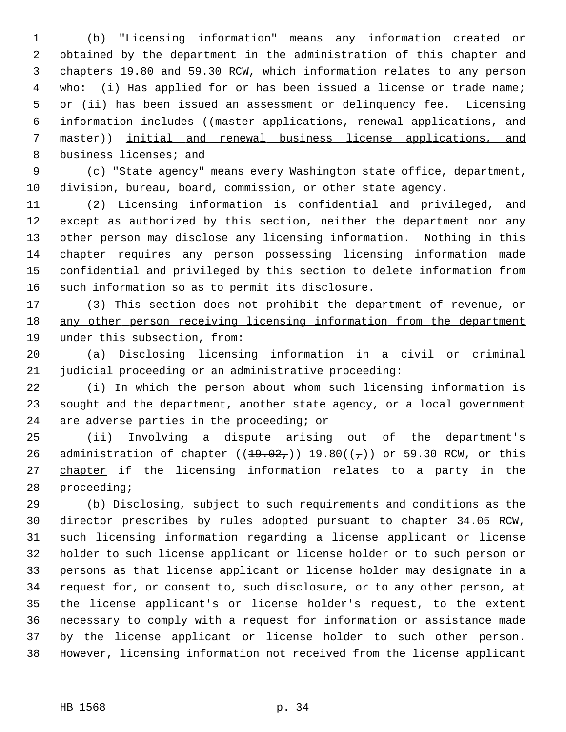1 (b) "Licensing information" means any information created or 2 obtained by the department in the administration of this chapter and 3 chapters 19.80 and 59.30 RCW, which information relates to any person 4 who: (i) Has applied for or has been issued a license or trade name; 5 or (ii) has been issued an assessment or delinquency fee. Licensing 6 information includes ((master applications, renewal applications, and 7 master)) initial and renewal business license applications, and 8 business licenses; and

 9 (c) "State agency" means every Washington state office, department, 10 division, bureau, board, commission, or other state agency.

11 (2) Licensing information is confidential and privileged, and 12 except as authorized by this section, neither the department nor any 13 other person may disclose any licensing information. Nothing in this 14 chapter requires any person possessing licensing information made 15 confidential and privileged by this section to delete information from 16 such information so as to permit its disclosure.

17 (3) This section does not prohibit the department of revenue, or 18 any other person receiving licensing information from the department 19 under this subsection, from:

20 (a) Disclosing licensing information in a civil or criminal 21 judicial proceeding or an administrative proceeding:

22 (i) In which the person about whom such licensing information is 23 sought and the department, another state agency, or a local government 24 are adverse parties in the proceeding; or

25 (ii) Involving a dispute arising out of the department's 26 administration of chapter  $((19.02,))$  19.80 $((7))$  or 59.30 RCW, or this 27 chapter if the licensing information relates to a party in the 28 proceeding;

29 (b) Disclosing, subject to such requirements and conditions as the 30 director prescribes by rules adopted pursuant to chapter 34.05 RCW, 31 such licensing information regarding a license applicant or license 32 holder to such license applicant or license holder or to such person or 33 persons as that license applicant or license holder may designate in a 34 request for, or consent to, such disclosure, or to any other person, at 35 the license applicant's or license holder's request, to the extent 36 necessary to comply with a request for information or assistance made 37 by the license applicant or license holder to such other person. 38 However, licensing information not received from the license applicant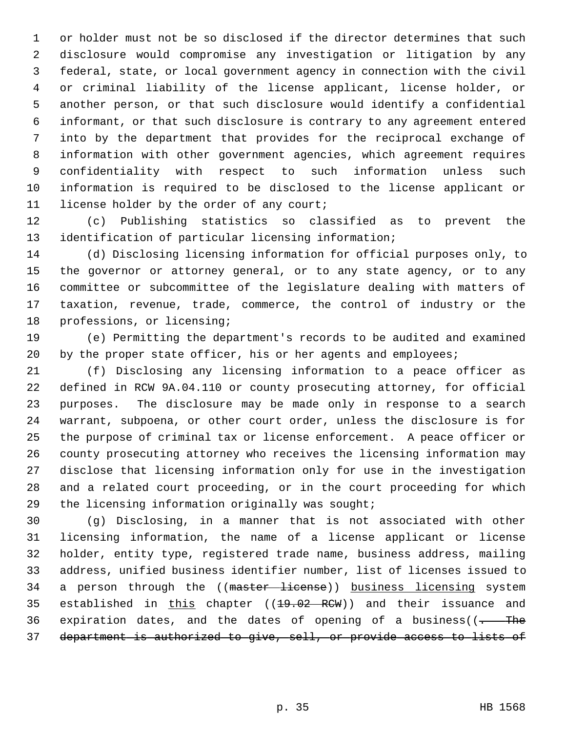1 or holder must not be so disclosed if the director determines that such 2 disclosure would compromise any investigation or litigation by any 3 federal, state, or local government agency in connection with the civil 4 or criminal liability of the license applicant, license holder, or 5 another person, or that such disclosure would identify a confidential 6 informant, or that such disclosure is contrary to any agreement entered 7 into by the department that provides for the reciprocal exchange of 8 information with other government agencies, which agreement requires 9 confidentiality with respect to such information unless such 10 information is required to be disclosed to the license applicant or 11 license holder by the order of any court;

12 (c) Publishing statistics so classified as to prevent the 13 identification of particular licensing information;

14 (d) Disclosing licensing information for official purposes only, to 15 the governor or attorney general, or to any state agency, or to any 16 committee or subcommittee of the legislature dealing with matters of 17 taxation, revenue, trade, commerce, the control of industry or the 18 professions, or licensing;

19 (e) Permitting the department's records to be audited and examined 20 by the proper state officer, his or her agents and employees;

21 (f) Disclosing any licensing information to a peace officer as 22 defined in RCW 9A.04.110 or county prosecuting attorney, for official 23 purposes. The disclosure may be made only in response to a search 24 warrant, subpoena, or other court order, unless the disclosure is for 25 the purpose of criminal tax or license enforcement. A peace officer or 26 county prosecuting attorney who receives the licensing information may 27 disclose that licensing information only for use in the investigation 28 and a related court proceeding, or in the court proceeding for which 29 the licensing information originally was sought;

30 (g) Disclosing, in a manner that is not associated with other 31 licensing information, the name of a license applicant or license 32 holder, entity type, registered trade name, business address, mailing 33 address, unified business identifier number, list of licenses issued to 34 a person through the ((master license)) business licensing system 35 established in this chapter  $((19.02 \text{ RCW}))$  and their issuance and 36 expiration dates, and the dates of opening of a business( $\frac{1}{1+\frac{1}{1+\frac{1}{1+\frac{1}{1+\frac{1}{1+\frac{1}{1+\frac{1}{1+\frac{1}{1+\frac{1}{1+\frac{1}{1+\frac{1}{1+\frac{1}{1+\frac{1}{1+\frac{1}{1+\frac{1}{1+\frac{1}{1+\frac{1}{1+\frac{1}{1+\frac{1}{1+\frac{1}{1+\frac{1}{1+\frac{1}{1+\frac{1}{1+\frac{1}{1+\frac{1}{1+\frac{1}{1+\frac{1$ 37 department is authorized to give, sell, or provide access to lists of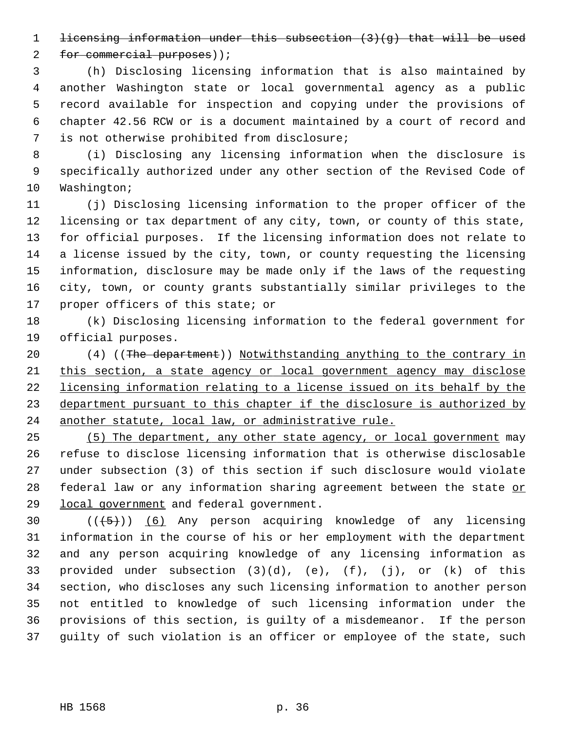1 licensing information under this subsection (3)(g) that will be used

2 for commercial purposes));

 3 (h) Disclosing licensing information that is also maintained by 4 another Washington state or local governmental agency as a public 5 record available for inspection and copying under the provisions of 6 chapter 42.56 RCW or is a document maintained by a court of record and 7 is not otherwise prohibited from disclosure;

 8 (i) Disclosing any licensing information when the disclosure is 9 specifically authorized under any other section of the Revised Code of 10 Washington;

11 (j) Disclosing licensing information to the proper officer of the 12 licensing or tax department of any city, town, or county of this state, 13 for official purposes. If the licensing information does not relate to 14 a license issued by the city, town, or county requesting the licensing 15 information, disclosure may be made only if the laws of the requesting 16 city, town, or county grants substantially similar privileges to the 17 proper officers of this state; or

18 (k) Disclosing licensing information to the federal government for 19 official purposes.

20 (4) ((The department)) Notwithstanding anything to the contrary in this section, a state agency or local government agency may disclose licensing information relating to a license issued on its behalf by the department pursuant to this chapter if the disclosure is authorized by another statute, local law, or administrative rule.

25 (5) The department, any other state agency, or local government may 26 refuse to disclose licensing information that is otherwise disclosable 27 under subsection (3) of this section if such disclosure would violate 28 federal law or any information sharing agreement between the state or 29 local government and federal government.

30  $((+5))$  (6) Any person acquiring knowledge of any licensing 31 information in the course of his or her employment with the department 32 and any person acquiring knowledge of any licensing information as 33 provided under subsection (3)(d), (e), (f), (j), or (k) of this 34 section, who discloses any such licensing information to another person 35 not entitled to knowledge of such licensing information under the 36 provisions of this section, is guilty of a misdemeanor. If the person 37 guilty of such violation is an officer or employee of the state, such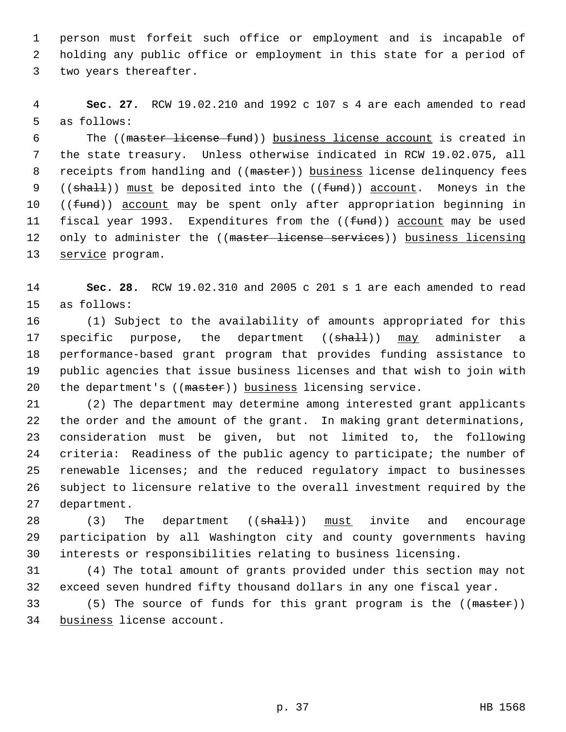1 person must forfeit such office or employment and is incapable of 2 holding any public office or employment in this state for a period of 3 two years thereafter.

 4 **Sec. 27.** RCW 19.02.210 and 1992 c 107 s 4 are each amended to read 5 as follows:

 6 The ((master license fund)) business license account is created in 7 the state treasury. Unless otherwise indicated in RCW 19.02.075, all 8 receipts from handling and ((master)) business license delinquency fees 9 (( $sha11$ )) must be deposited into the (( $fund$ )) account. Moneys in the 10 ((fund)) account may be spent only after appropriation beginning in 11 fiscal year 1993. Expenditures from the ((fund)) account may be used 12 only to administer the ((master license services)) business licensing 13 service program.

14 **Sec. 28.** RCW 19.02.310 and 2005 c 201 s 1 are each amended to read 15 as follows:

16 (1) Subject to the availability of amounts appropriated for this 17 specific purpose, the department ((shall)) may administer a 18 performance-based grant program that provides funding assistance to 19 public agencies that issue business licenses and that wish to join with 20 the department's ((master)) business licensing service.

21 (2) The department may determine among interested grant applicants 22 the order and the amount of the grant. In making grant determinations, 23 consideration must be given, but not limited to, the following 24 criteria: Readiness of the public agency to participate; the number of 25 renewable licenses; and the reduced regulatory impact to businesses 26 subject to licensure relative to the overall investment required by the 27 department.

28 (3) The department ((shall)) must invite and encourage 29 participation by all Washington city and county governments having 30 interests or responsibilities relating to business licensing.

31 (4) The total amount of grants provided under this section may not 32 exceed seven hundred fifty thousand dollars in any one fiscal year.

33 (5) The source of funds for this grant program is the ((master)) 34 business license account.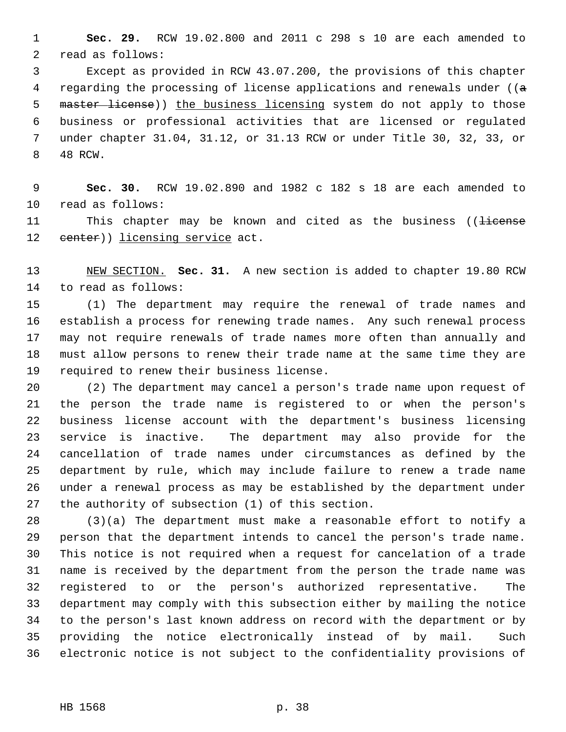1 **Sec. 29.** RCW 19.02.800 and 2011 c 298 s 10 are each amended to 2 read as follows:

 3 Except as provided in RCW 43.07.200, the provisions of this chapter 4 regarding the processing of license applications and renewals under ( $(a - b)$ 5 master license)) the business licensing system do not apply to those 6 business or professional activities that are licensed or regulated 7 under chapter 31.04, 31.12, or 31.13 RCW or under Title 30, 32, 33, or 8 48 RCW.

 9 **Sec. 30.** RCW 19.02.890 and 1982 c 182 s 18 are each amended to 10 read as follows:

11 This chapter may be known and cited as the business ((license 12 center)) licensing service act.

13 NEW SECTION. **Sec. 31.** A new section is added to chapter 19.80 RCW 14 to read as follows:

15 (1) The department may require the renewal of trade names and 16 establish a process for renewing trade names. Any such renewal process 17 may not require renewals of trade names more often than annually and 18 must allow persons to renew their trade name at the same time they are 19 required to renew their business license.

20 (2) The department may cancel a person's trade name upon request of 21 the person the trade name is registered to or when the person's 22 business license account with the department's business licensing 23 service is inactive. The department may also provide for the 24 cancellation of trade names under circumstances as defined by the 25 department by rule, which may include failure to renew a trade name 26 under a renewal process as may be established by the department under 27 the authority of subsection (1) of this section.

28 (3)(a) The department must make a reasonable effort to notify a 29 person that the department intends to cancel the person's trade name. 30 This notice is not required when a request for cancelation of a trade 31 name is received by the department from the person the trade name was 32 registered to or the person's authorized representative. The 33 department may comply with this subsection either by mailing the notice 34 to the person's last known address on record with the department or by 35 providing the notice electronically instead of by mail. Such 36 electronic notice is not subject to the confidentiality provisions of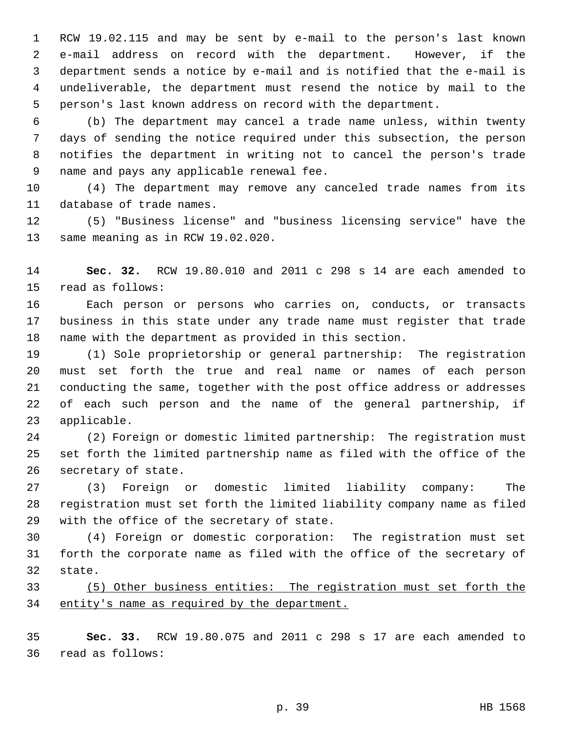1 RCW 19.02.115 and may be sent by e-mail to the person's last known 2 e-mail address on record with the department. However, if the 3 department sends a notice by e-mail and is notified that the e-mail is 4 undeliverable, the department must resend the notice by mail to the 5 person's last known address on record with the department.

 6 (b) The department may cancel a trade name unless, within twenty 7 days of sending the notice required under this subsection, the person 8 notifies the department in writing not to cancel the person's trade 9 name and pays any applicable renewal fee.

10 (4) The department may remove any canceled trade names from its 11 database of trade names.

12 (5) "Business license" and "business licensing service" have the 13 same meaning as in RCW 19.02.020.

14 **Sec. 32.** RCW 19.80.010 and 2011 c 298 s 14 are each amended to 15 read as follows:

16 Each person or persons who carries on, conducts, or transacts 17 business in this state under any trade name must register that trade 18 name with the department as provided in this section.

19 (1) Sole proprietorship or general partnership: The registration 20 must set forth the true and real name or names of each person 21 conducting the same, together with the post office address or addresses 22 of each such person and the name of the general partnership, if 23 applicable.

24 (2) Foreign or domestic limited partnership: The registration must 25 set forth the limited partnership name as filed with the office of the 26 secretary of state.

27 (3) Foreign or domestic limited liability company: The 28 registration must set forth the limited liability company name as filed 29 with the office of the secretary of state.

30 (4) Foreign or domestic corporation: The registration must set 31 forth the corporate name as filed with the office of the secretary of 32 state.

33 (5) Other business entities: The registration must set forth the 34 entity's name as required by the department.

35 **Sec. 33.** RCW 19.80.075 and 2011 c 298 s 17 are each amended to 36 read as follows: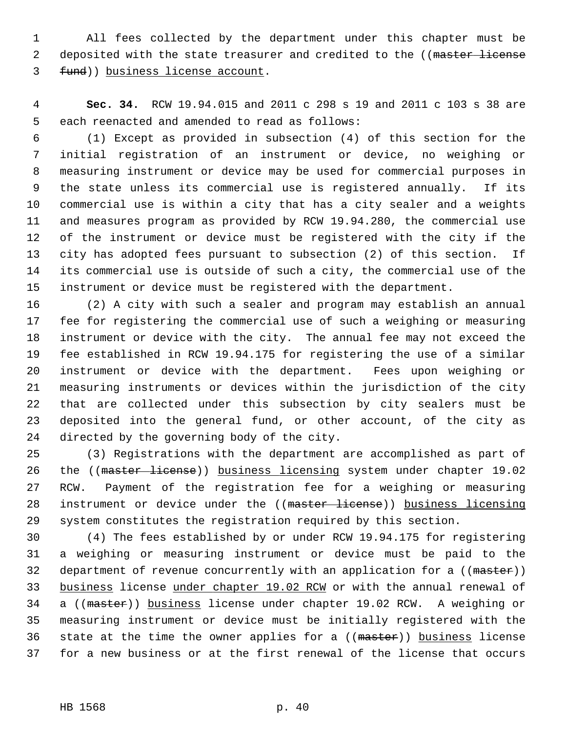1 All fees collected by the department under this chapter must be 2 deposited with the state treasurer and credited to the ((master license 3 fund)) business license account.

 4 **Sec. 34.** RCW 19.94.015 and 2011 c 298 s 19 and 2011 c 103 s 38 are 5 each reenacted and amended to read as follows:

 6 (1) Except as provided in subsection (4) of this section for the 7 initial registration of an instrument or device, no weighing or 8 measuring instrument or device may be used for commercial purposes in 9 the state unless its commercial use is registered annually. If its 10 commercial use is within a city that has a city sealer and a weights 11 and measures program as provided by RCW 19.94.280, the commercial use 12 of the instrument or device must be registered with the city if the 13 city has adopted fees pursuant to subsection (2) of this section. If 14 its commercial use is outside of such a city, the commercial use of the 15 instrument or device must be registered with the department.

16 (2) A city with such a sealer and program may establish an annual 17 fee for registering the commercial use of such a weighing or measuring 18 instrument or device with the city. The annual fee may not exceed the 19 fee established in RCW 19.94.175 for registering the use of a similar 20 instrument or device with the department. Fees upon weighing or 21 measuring instruments or devices within the jurisdiction of the city 22 that are collected under this subsection by city sealers must be 23 deposited into the general fund, or other account, of the city as 24 directed by the governing body of the city.

25 (3) Registrations with the department are accomplished as part of 26 the ((master license)) business licensing system under chapter 19.02 27 RCW. Payment of the registration fee for a weighing or measuring 28 instrument or device under the ((master license)) business licensing 29 system constitutes the registration required by this section.

30 (4) The fees established by or under RCW 19.94.175 for registering 31 a weighing or measuring instrument or device must be paid to the 32 department of revenue concurrently with an application for a ((master)) 33 business license under chapter 19.02 RCW or with the annual renewal of 34 a ((master)) business license under chapter 19.02 RCW. A weighing or 35 measuring instrument or device must be initially registered with the 36 state at the time the owner applies for a ((master)) business license 37 for a new business or at the first renewal of the license that occurs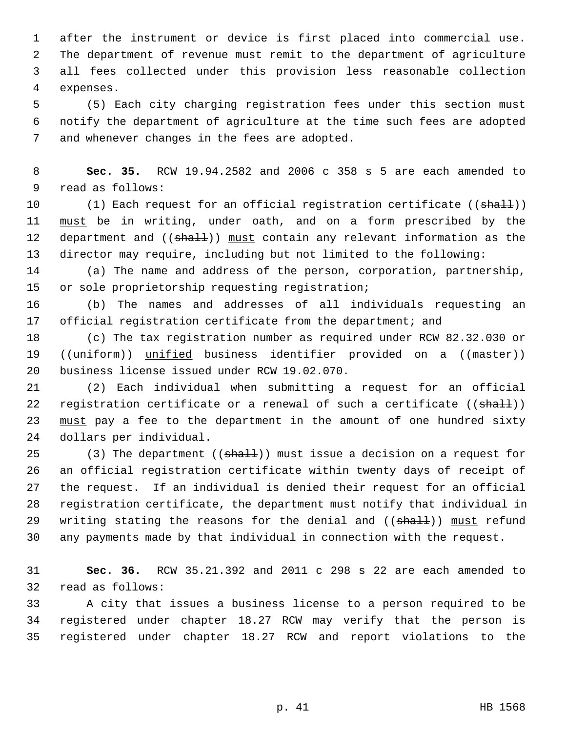1 after the instrument or device is first placed into commercial use. 2 The department of revenue must remit to the department of agriculture 3 all fees collected under this provision less reasonable collection 4 expenses.

 5 (5) Each city charging registration fees under this section must 6 notify the department of agriculture at the time such fees are adopted 7 and whenever changes in the fees are adopted.

 8 **Sec. 35.** RCW 19.94.2582 and 2006 c 358 s 5 are each amended to 9 read as follows:

10 (1) Each request for an official registration certificate ((shall)) 11 must be in writing, under oath, and on a form prescribed by the 12 department and ((shall)) must contain any relevant information as the 13 director may require, including but not limited to the following:

14 (a) The name and address of the person, corporation, partnership, 15 or sole proprietorship requesting registration;

16 (b) The names and addresses of all individuals requesting an 17 official registration certificate from the department; and

18 (c) The tax registration number as required under RCW 82.32.030 or 19 ((uniform)) unified business identifier provided on a ((master)) 20 business license issued under RCW 19.02.070.

21 (2) Each individual when submitting a request for an official 22 registration certificate or a renewal of such a certificate  $((\text{shall}))$ 23 must pay a fee to the department in the amount of one hundred sixty 24 dollars per individual.

25 (3) The department (( $\sinh(1)$ ) must issue a decision on a request for 26 an official registration certificate within twenty days of receipt of 27 the request. If an individual is denied their request for an official 28 registration certificate, the department must notify that individual in 29 writing stating the reasons for the denial and ((shall)) must refund 30 any payments made by that individual in connection with the request.

31 **Sec. 36.** RCW 35.21.392 and 2011 c 298 s 22 are each amended to 32 read as follows:

33 A city that issues a business license to a person required to be 34 registered under chapter 18.27 RCW may verify that the person is 35 registered under chapter 18.27 RCW and report violations to the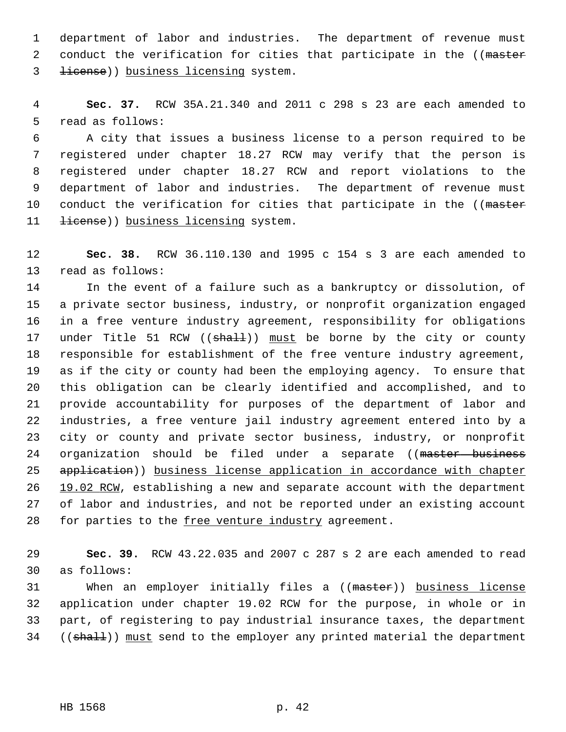1 department of labor and industries. The department of revenue must 2 conduct the verification for cities that participate in the ((master 3 license)) business licensing system.

 4 **Sec. 37.** RCW 35A.21.340 and 2011 c 298 s 23 are each amended to 5 read as follows:

 6 A city that issues a business license to a person required to be 7 registered under chapter 18.27 RCW may verify that the person is 8 registered under chapter 18.27 RCW and report violations to the 9 department of labor and industries. The department of revenue must 10 conduct the verification for cities that participate in the ((master 11 <del>license</del>)) business licensing system.

12 **Sec. 38.** RCW 36.110.130 and 1995 c 154 s 3 are each amended to 13 read as follows:

14 In the event of a failure such as a bankruptcy or dissolution, of 15 a private sector business, industry, or nonprofit organization engaged 16 in a free venture industry agreement, responsibility for obligations 17 under Title 51 RCW ((shall)) must be borne by the city or county 18 responsible for establishment of the free venture industry agreement, 19 as if the city or county had been the employing agency. To ensure that 20 this obligation can be clearly identified and accomplished, and to 21 provide accountability for purposes of the department of labor and 22 industries, a free venture jail industry agreement entered into by a 23 city or county and private sector business, industry, or nonprofit 24 organization should be filed under a separate ((master business 25 application)) business license application in accordance with chapter 26 19.02 RCW, establishing a new and separate account with the department 27 of labor and industries, and not be reported under an existing account 28 for parties to the free venture industry agreement.

29 **Sec. 39.** RCW 43.22.035 and 2007 c 287 s 2 are each amended to read 30 as follows:

31 When an employer initially files a ((master)) business license 32 application under chapter 19.02 RCW for the purpose, in whole or in 33 part, of registering to pay industrial insurance taxes, the department 34 ((shall)) must send to the employer any printed material the department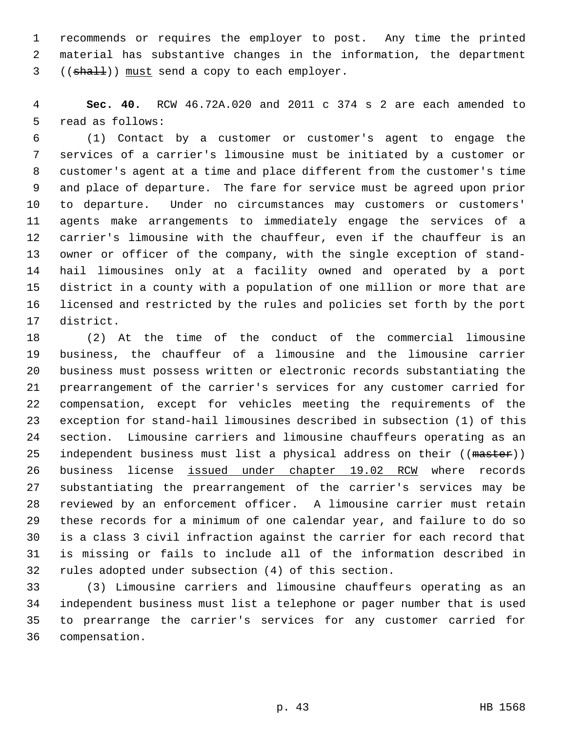1 recommends or requires the employer to post. Any time the printed 2 material has substantive changes in the information, the department 3 ((shall)) must send a copy to each employer.

 4 **Sec. 40.** RCW 46.72A.020 and 2011 c 374 s 2 are each amended to 5 read as follows:

 6 (1) Contact by a customer or customer's agent to engage the 7 services of a carrier's limousine must be initiated by a customer or 8 customer's agent at a time and place different from the customer's time 9 and place of departure. The fare for service must be agreed upon prior 10 to departure. Under no circumstances may customers or customers' 11 agents make arrangements to immediately engage the services of a 12 carrier's limousine with the chauffeur, even if the chauffeur is an 13 owner or officer of the company, with the single exception of stand-14 hail limousines only at a facility owned and operated by a port 15 district in a county with a population of one million or more that are 16 licensed and restricted by the rules and policies set forth by the port 17 district.

18 (2) At the time of the conduct of the commercial limousine 19 business, the chauffeur of a limousine and the limousine carrier 20 business must possess written or electronic records substantiating the 21 prearrangement of the carrier's services for any customer carried for 22 compensation, except for vehicles meeting the requirements of the 23 exception for stand-hail limousines described in subsection (1) of this 24 section. Limousine carriers and limousine chauffeurs operating as an 25 independent business must list a physical address on their ((master)) 26 business license issued under chapter 19.02 RCW where records 27 substantiating the prearrangement of the carrier's services may be 28 reviewed by an enforcement officer. A limousine carrier must retain 29 these records for a minimum of one calendar year, and failure to do so 30 is a class 3 civil infraction against the carrier for each record that 31 is missing or fails to include all of the information described in 32 rules adopted under subsection (4) of this section.

33 (3) Limousine carriers and limousine chauffeurs operating as an 34 independent business must list a telephone or pager number that is used 35 to prearrange the carrier's services for any customer carried for 36 compensation.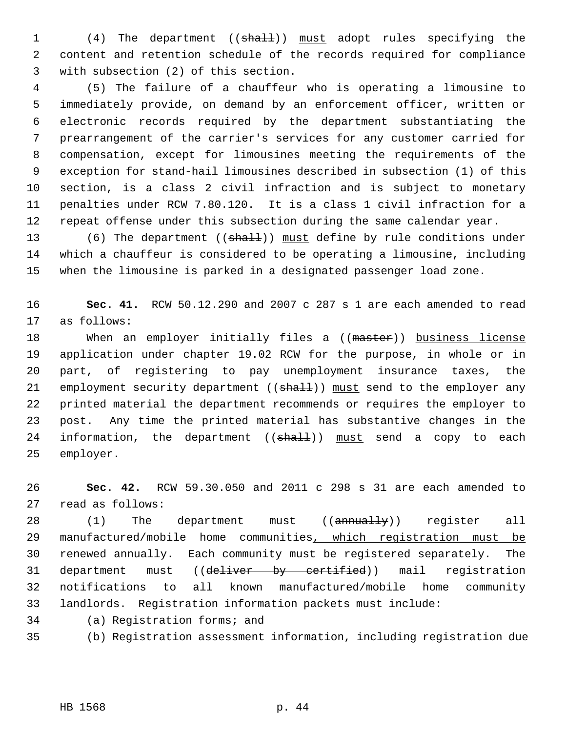1 (4) The department ((shall)) must adopt rules specifying the 2 content and retention schedule of the records required for compliance 3 with subsection (2) of this section.

 4 (5) The failure of a chauffeur who is operating a limousine to 5 immediately provide, on demand by an enforcement officer, written or 6 electronic records required by the department substantiating the 7 prearrangement of the carrier's services for any customer carried for 8 compensation, except for limousines meeting the requirements of the 9 exception for stand-hail limousines described in subsection (1) of this 10 section, is a class 2 civil infraction and is subject to monetary 11 penalties under RCW 7.80.120. It is a class 1 civil infraction for a 12 repeat offense under this subsection during the same calendar year.

13 (6) The department ((shall)) must define by rule conditions under 14 which a chauffeur is considered to be operating a limousine, including 15 when the limousine is parked in a designated passenger load zone.

16 **Sec. 41.** RCW 50.12.290 and 2007 c 287 s 1 are each amended to read 17 as follows:

18 When an employer initially files a ((master)) business license 19 application under chapter 19.02 RCW for the purpose, in whole or in 20 part, of registering to pay unemployment insurance taxes, the 21 employment security department ((shall)) must send to the employer any 22 printed material the department recommends or requires the employer to 23 post. Any time the printed material has substantive changes in the 24 information, the department  $((shath)]$  must send a copy to each 25 employer.

26 **Sec. 42.** RCW 59.30.050 and 2011 c 298 s 31 are each amended to 27 read as follows:

28 (1) The department must ((annually)) register all 29 manufactured/mobile home communities, which registration must be 30 renewed annually. Each community must be registered separately. The 31 department must ((deliver by certified)) mail registration 32 notifications to all known manufactured/mobile home community 33 landlords. Registration information packets must include:

34 (a) Registration forms; and

35 (b) Registration assessment information, including registration due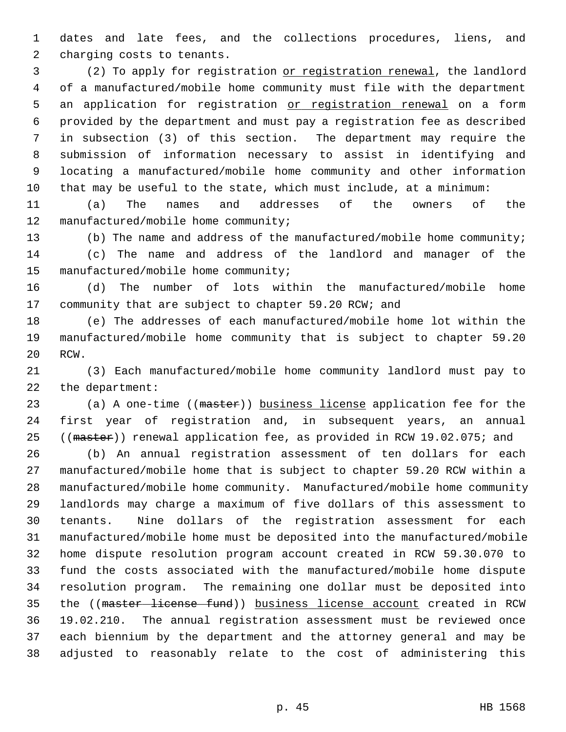1 dates and late fees, and the collections procedures, liens, and 2 charging costs to tenants.

 3 (2) To apply for registration or registration renewal, the landlord 4 of a manufactured/mobile home community must file with the department 5 an application for registration or registration renewal on a form 6 provided by the department and must pay a registration fee as described 7 in subsection (3) of this section. The department may require the 8 submission of information necessary to assist in identifying and 9 locating a manufactured/mobile home community and other information 10 that may be useful to the state, which must include, at a minimum:

11 (a) The names and addresses of the owners of the 12 manufactured/mobile home community;

13 (b) The name and address of the manufactured/mobile home community; 14 (c) The name and address of the landlord and manager of the 15 manufactured/mobile home community;

16 (d) The number of lots within the manufactured/mobile home 17 community that are subject to chapter 59.20 RCW; and

18 (e) The addresses of each manufactured/mobile home lot within the 19 manufactured/mobile home community that is subject to chapter 59.20 20 RCW.

21 (3) Each manufactured/mobile home community landlord must pay to 22 the department:

23 (a) A one-time ((master)) business license application fee for the 24 first year of registration and, in subsequent years, an annual 25 ((master)) renewal application fee, as provided in RCW 19.02.075; and

26 (b) An annual registration assessment of ten dollars for each 27 manufactured/mobile home that is subject to chapter 59.20 RCW within a 28 manufactured/mobile home community. Manufactured/mobile home community 29 landlords may charge a maximum of five dollars of this assessment to 30 tenants. Nine dollars of the registration assessment for each 31 manufactured/mobile home must be deposited into the manufactured/mobile 32 home dispute resolution program account created in RCW 59.30.070 to 33 fund the costs associated with the manufactured/mobile home dispute 34 resolution program. The remaining one dollar must be deposited into 35 the ((master license fund)) business license account created in RCW 36 19.02.210. The annual registration assessment must be reviewed once 37 each biennium by the department and the attorney general and may be 38 adjusted to reasonably relate to the cost of administering this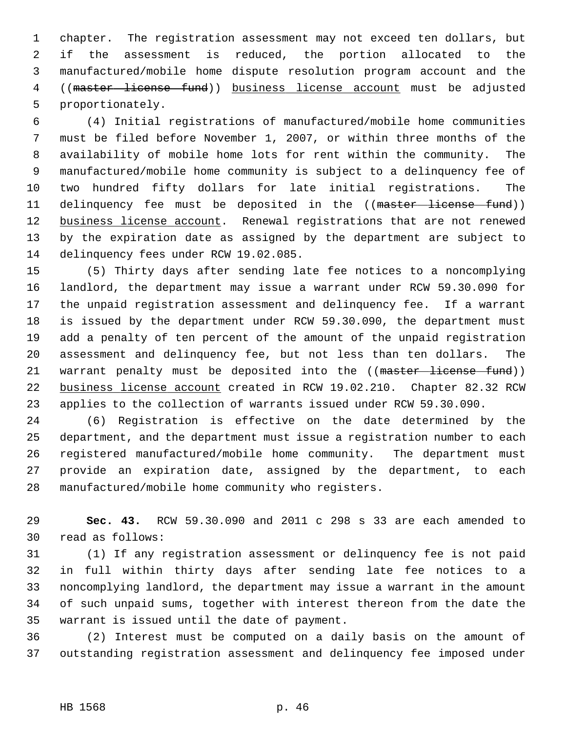1 chapter. The registration assessment may not exceed ten dollars, but 2 if the assessment is reduced, the portion allocated to the 3 manufactured/mobile home dispute resolution program account and the 4 ((master license fund)) business license account must be adjusted 5 proportionately.

 6 (4) Initial registrations of manufactured/mobile home communities 7 must be filed before November 1, 2007, or within three months of the 8 availability of mobile home lots for rent within the community. The 9 manufactured/mobile home community is subject to a delinquency fee of 10 two hundred fifty dollars for late initial registrations. The 11 delinquency fee must be deposited in the ((master license fund)) 12 business license account. Renewal registrations that are not renewed 13 by the expiration date as assigned by the department are subject to 14 delinquency fees under RCW 19.02.085.

15 (5) Thirty days after sending late fee notices to a noncomplying 16 landlord, the department may issue a warrant under RCW 59.30.090 for 17 the unpaid registration assessment and delinquency fee. If a warrant 18 is issued by the department under RCW 59.30.090, the department must 19 add a penalty of ten percent of the amount of the unpaid registration 20 assessment and delinquency fee, but not less than ten dollars. The 21 warrant penalty must be deposited into the ((master license fund)) 22 business license account created in RCW 19.02.210. Chapter 82.32 RCW 23 applies to the collection of warrants issued under RCW 59.30.090.

24 (6) Registration is effective on the date determined by the 25 department, and the department must issue a registration number to each 26 registered manufactured/mobile home community. The department must 27 provide an expiration date, assigned by the department, to each 28 manufactured/mobile home community who registers.

29 **Sec. 43.** RCW 59.30.090 and 2011 c 298 s 33 are each amended to 30 read as follows:

31 (1) If any registration assessment or delinquency fee is not paid 32 in full within thirty days after sending late fee notices to a 33 noncomplying landlord, the department may issue a warrant in the amount 34 of such unpaid sums, together with interest thereon from the date the 35 warrant is issued until the date of payment.

36 (2) Interest must be computed on a daily basis on the amount of 37 outstanding registration assessment and delinquency fee imposed under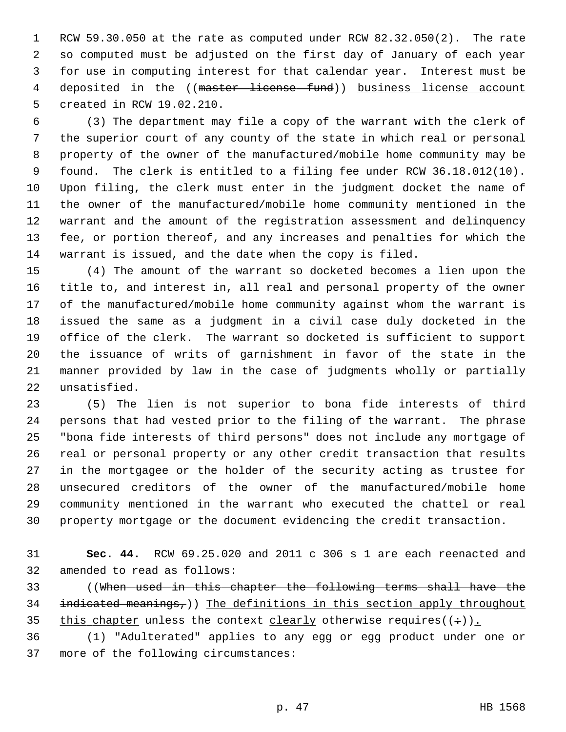1 RCW 59.30.050 at the rate as computed under RCW 82.32.050(2). The rate 2 so computed must be adjusted on the first day of January of each year 3 for use in computing interest for that calendar year. Interest must be 4 deposited in the ((master license fund)) business license account 5 created in RCW 19.02.210.

 6 (3) The department may file a copy of the warrant with the clerk of 7 the superior court of any county of the state in which real or personal 8 property of the owner of the manufactured/mobile home community may be 9 found. The clerk is entitled to a filing fee under RCW 36.18.012(10). 10 Upon filing, the clerk must enter in the judgment docket the name of 11 the owner of the manufactured/mobile home community mentioned in the 12 warrant and the amount of the registration assessment and delinquency 13 fee, or portion thereof, and any increases and penalties for which the 14 warrant is issued, and the date when the copy is filed.

15 (4) The amount of the warrant so docketed becomes a lien upon the 16 title to, and interest in, all real and personal property of the owner 17 of the manufactured/mobile home community against whom the warrant is 18 issued the same as a judgment in a civil case duly docketed in the 19 office of the clerk. The warrant so docketed is sufficient to support 20 the issuance of writs of garnishment in favor of the state in the 21 manner provided by law in the case of judgments wholly or partially 22 unsatisfied.

23 (5) The lien is not superior to bona fide interests of third 24 persons that had vested prior to the filing of the warrant. The phrase 25 "bona fide interests of third persons" does not include any mortgage of 26 real or personal property or any other credit transaction that results 27 in the mortgagee or the holder of the security acting as trustee for 28 unsecured creditors of the owner of the manufactured/mobile home 29 community mentioned in the warrant who executed the chattel or real 30 property mortgage or the document evidencing the credit transaction.

31 **Sec. 44.** RCW 69.25.020 and 2011 c 306 s 1 are each reenacted and 32 amended to read as follows:

33 ((When used in this chapter the following terms shall have the 34 indicated meanings,)) The definitions in this section apply throughout 35 this chapter unless the context clearly otherwise requires( $(+)$ ).

36 (1) "Adulterated" applies to any egg or egg product under one or 37 more of the following circumstances: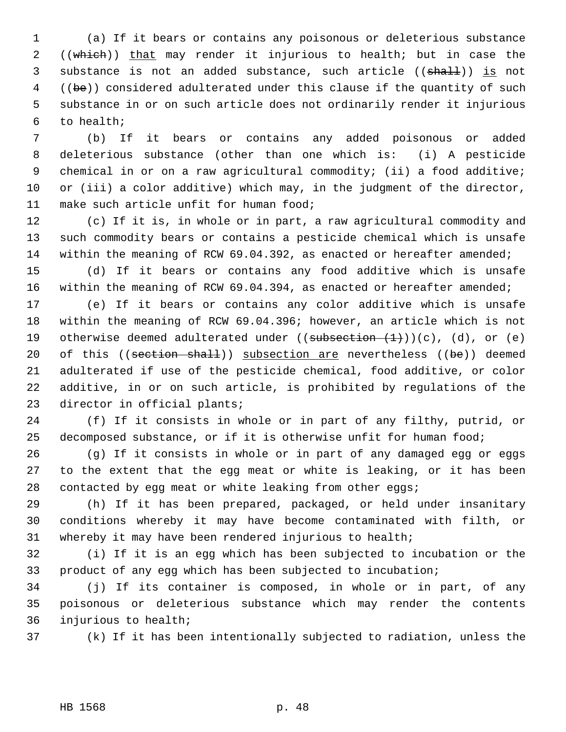1 (a) If it bears or contains any poisonous or deleterious substance 2 ((which)) that may render it injurious to health; but in case the 3 substance is not an added substance, such article ((shall)) is not 4 ((be)) considered adulterated under this clause if the quantity of such 5 substance in or on such article does not ordinarily render it injurious 6 to health;

 7 (b) If it bears or contains any added poisonous or added 8 deleterious substance (other than one which is: (i) A pesticide 9 chemical in or on a raw agricultural commodity; (ii) a food additive; 10 or (iii) a color additive) which may, in the judgment of the director, 11 make such article unfit for human food;

12 (c) If it is, in whole or in part, a raw agricultural commodity and 13 such commodity bears or contains a pesticide chemical which is unsafe 14 within the meaning of RCW 69.04.392, as enacted or hereafter amended;

15 (d) If it bears or contains any food additive which is unsafe 16 within the meaning of RCW 69.04.394, as enacted or hereafter amended;

17 (e) If it bears or contains any color additive which is unsafe 18 within the meaning of RCW 69.04.396; however, an article which is not 19 otherwise deemed adulterated under  $((subsection (1)))(c)$ , (d), or (e) 20 of this ((section shall)) subsection are nevertheless ((be)) deemed 21 adulterated if use of the pesticide chemical, food additive, or color 22 additive, in or on such article, is prohibited by regulations of the 23 director in official plants;

24 (f) If it consists in whole or in part of any filthy, putrid, or 25 decomposed substance, or if it is otherwise unfit for human food;

26 (g) If it consists in whole or in part of any damaged egg or eggs 27 to the extent that the egg meat or white is leaking, or it has been 28 contacted by egg meat or white leaking from other eggs;

29 (h) If it has been prepared, packaged, or held under insanitary 30 conditions whereby it may have become contaminated with filth, or 31 whereby it may have been rendered injurious to health;

32 (i) If it is an egg which has been subjected to incubation or the 33 product of any egg which has been subjected to incubation;

34 (j) If its container is composed, in whole or in part, of any 35 poisonous or deleterious substance which may render the contents 36 injurious to health;

37 (k) If it has been intentionally subjected to radiation, unless the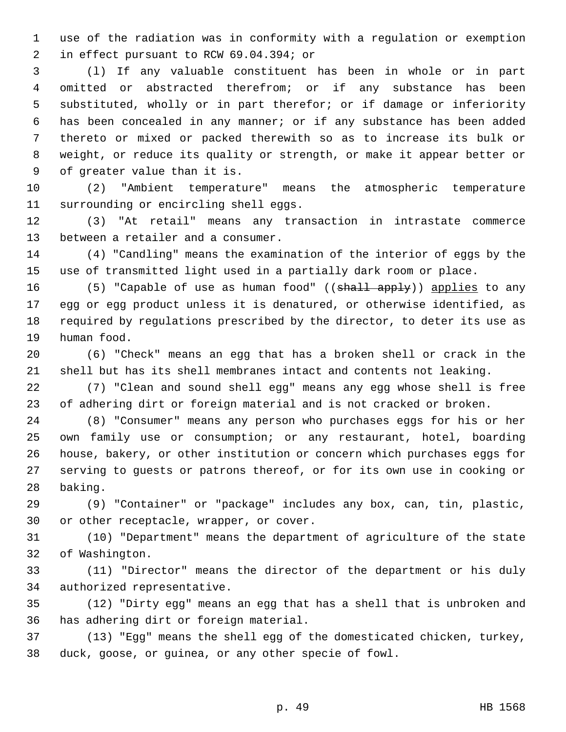1 use of the radiation was in conformity with a regulation or exemption 2 in effect pursuant to RCW 69.04.394; or

 3 (l) If any valuable constituent has been in whole or in part 4 omitted or abstracted therefrom; or if any substance has been 5 substituted, wholly or in part therefor; or if damage or inferiority 6 has been concealed in any manner; or if any substance has been added 7 thereto or mixed or packed therewith so as to increase its bulk or 8 weight, or reduce its quality or strength, or make it appear better or 9 of greater value than it is.

10 (2) "Ambient temperature" means the atmospheric temperature 11 surrounding or encircling shell eggs.

12 (3) "At retail" means any transaction in intrastate commerce 13 between a retailer and a consumer.

14 (4) "Candling" means the examination of the interior of eggs by the 15 use of transmitted light used in a partially dark room or place.

16 (5) "Capable of use as human food" (( $\frac{1}{3}$ ) applies to any 17 egg or egg product unless it is denatured, or otherwise identified, as 18 required by regulations prescribed by the director, to deter its use as 19 human food.

20 (6) "Check" means an egg that has a broken shell or crack in the 21 shell but has its shell membranes intact and contents not leaking.

22 (7) "Clean and sound shell egg" means any egg whose shell is free 23 of adhering dirt or foreign material and is not cracked or broken.

24 (8) "Consumer" means any person who purchases eggs for his or her 25 own family use or consumption; or any restaurant, hotel, boarding 26 house, bakery, or other institution or concern which purchases eggs for 27 serving to guests or patrons thereof, or for its own use in cooking or 28 baking.

29 (9) "Container" or "package" includes any box, can, tin, plastic, 30 or other receptacle, wrapper, or cover.

31 (10) "Department" means the department of agriculture of the state 32 of Washington.

33 (11) "Director" means the director of the department or his duly 34 authorized representative.

35 (12) "Dirty egg" means an egg that has a shell that is unbroken and 36 has adhering dirt or foreign material.

37 (13) "Egg" means the shell egg of the domesticated chicken, turkey, 38 duck, goose, or guinea, or any other specie of fowl.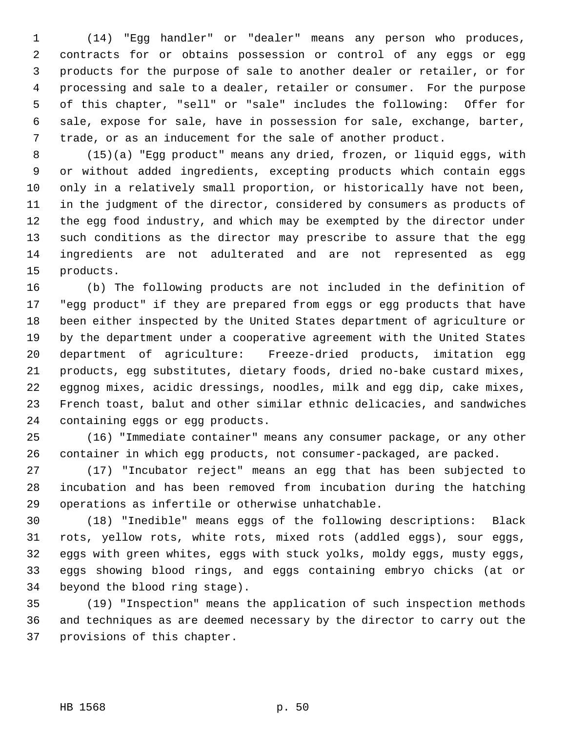1 (14) "Egg handler" or "dealer" means any person who produces, 2 contracts for or obtains possession or control of any eggs or egg 3 products for the purpose of sale to another dealer or retailer, or for 4 processing and sale to a dealer, retailer or consumer. For the purpose 5 of this chapter, "sell" or "sale" includes the following: Offer for 6 sale, expose for sale, have in possession for sale, exchange, barter, 7 trade, or as an inducement for the sale of another product.

 8 (15)(a) "Egg product" means any dried, frozen, or liquid eggs, with 9 or without added ingredients, excepting products which contain eggs 10 only in a relatively small proportion, or historically have not been, 11 in the judgment of the director, considered by consumers as products of 12 the egg food industry, and which may be exempted by the director under 13 such conditions as the director may prescribe to assure that the egg 14 ingredients are not adulterated and are not represented as egg 15 products.

16 (b) The following products are not included in the definition of 17 "egg product" if they are prepared from eggs or egg products that have 18 been either inspected by the United States department of agriculture or 19 by the department under a cooperative agreement with the United States 20 department of agriculture: Freeze-dried products, imitation egg 21 products, egg substitutes, dietary foods, dried no-bake custard mixes, 22 eggnog mixes, acidic dressings, noodles, milk and egg dip, cake mixes, 23 French toast, balut and other similar ethnic delicacies, and sandwiches 24 containing eggs or egg products.

25 (16) "Immediate container" means any consumer package, or any other 26 container in which egg products, not consumer-packaged, are packed.

27 (17) "Incubator reject" means an egg that has been subjected to 28 incubation and has been removed from incubation during the hatching 29 operations as infertile or otherwise unhatchable.

30 (18) "Inedible" means eggs of the following descriptions: Black 31 rots, yellow rots, white rots, mixed rots (addled eggs), sour eggs, 32 eggs with green whites, eggs with stuck yolks, moldy eggs, musty eggs, 33 eggs showing blood rings, and eggs containing embryo chicks (at or 34 beyond the blood ring stage).

35 (19) "Inspection" means the application of such inspection methods 36 and techniques as are deemed necessary by the director to carry out the 37 provisions of this chapter.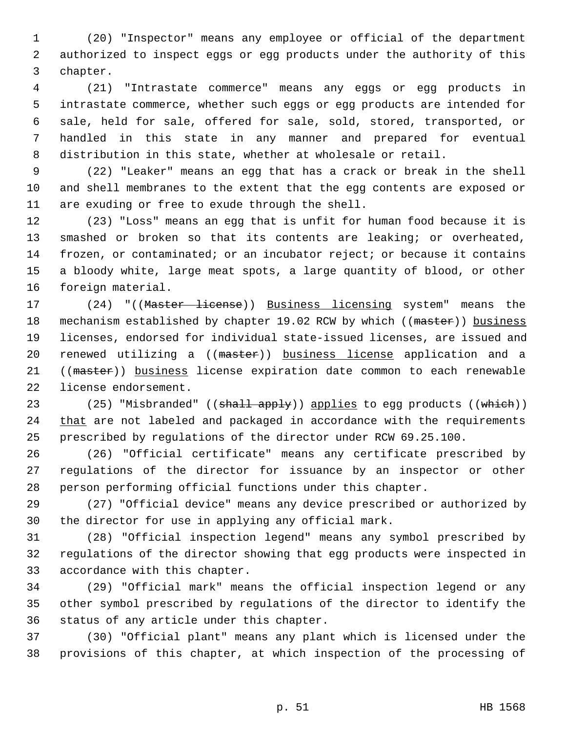1 (20) "Inspector" means any employee or official of the department 2 authorized to inspect eggs or egg products under the authority of this 3 chapter.

 4 (21) "Intrastate commerce" means any eggs or egg products in 5 intrastate commerce, whether such eggs or egg products are intended for 6 sale, held for sale, offered for sale, sold, stored, transported, or 7 handled in this state in any manner and prepared for eventual 8 distribution in this state, whether at wholesale or retail.

 9 (22) "Leaker" means an egg that has a crack or break in the shell 10 and shell membranes to the extent that the egg contents are exposed or 11 are exuding or free to exude through the shell.

12 (23) "Loss" means an egg that is unfit for human food because it is 13 smashed or broken so that its contents are leaking; or overheated, 14 frozen, or contaminated; or an incubator reject; or because it contains 15 a bloody white, large meat spots, a large quantity of blood, or other 16 foreign material.

17 (24) "((Master license)) Business licensing system" means the 18 mechanism established by chapter 19.02 RCW by which ((master)) business 19 licenses, endorsed for individual state-issued licenses, are issued and 20 renewed utilizing a ((master)) business license application and a 21 ((master)) business license expiration date common to each renewable 22 license endorsement.

23 (25) "Misbranded" ((shall apply)) applies to egg products ((which)) 24 that are not labeled and packaged in accordance with the requirements 25 prescribed by regulations of the director under RCW 69.25.100.

26 (26) "Official certificate" means any certificate prescribed by 27 regulations of the director for issuance by an inspector or other 28 person performing official functions under this chapter.

29 (27) "Official device" means any device prescribed or authorized by 30 the director for use in applying any official mark.

31 (28) "Official inspection legend" means any symbol prescribed by 32 regulations of the director showing that egg products were inspected in 33 accordance with this chapter.

34 (29) "Official mark" means the official inspection legend or any 35 other symbol prescribed by regulations of the director to identify the 36 status of any article under this chapter.

37 (30) "Official plant" means any plant which is licensed under the 38 provisions of this chapter, at which inspection of the processing of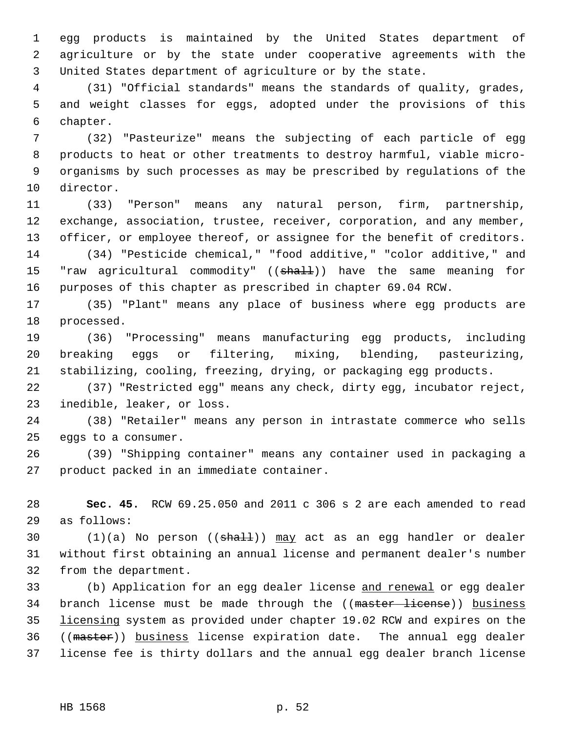1 egg products is maintained by the United States department of 2 agriculture or by the state under cooperative agreements with the 3 United States department of agriculture or by the state.

 4 (31) "Official standards" means the standards of quality, grades, 5 and weight classes for eggs, adopted under the provisions of this 6 chapter.

 7 (32) "Pasteurize" means the subjecting of each particle of egg 8 products to heat or other treatments to destroy harmful, viable micro- 9 organisms by such processes as may be prescribed by regulations of the 10 director.

11 (33) "Person" means any natural person, firm, partnership, 12 exchange, association, trustee, receiver, corporation, and any member, 13 officer, or employee thereof, or assignee for the benefit of creditors. 14 (34) "Pesticide chemical," "food additive," "color additive," and

15 "raw agricultural commodity" ((shall)) have the same meaning for 16 purposes of this chapter as prescribed in chapter 69.04 RCW.

17 (35) "Plant" means any place of business where egg products are 18 processed.

19 (36) "Processing" means manufacturing egg products, including 20 breaking eggs or filtering, mixing, blending, pasteurizing, 21 stabilizing, cooling, freezing, drying, or packaging egg products.

22 (37) "Restricted egg" means any check, dirty egg, incubator reject, 23 inedible, leaker, or loss.

24 (38) "Retailer" means any person in intrastate commerce who sells 25 eggs to a consumer.

26 (39) "Shipping container" means any container used in packaging a 27 product packed in an immediate container.

28 **Sec. 45.** RCW 69.25.050 and 2011 c 306 s 2 are each amended to read 29 as follows:

30  $(1)(a)$  No person  $((sha11))$  may act as an egg handler or dealer 31 without first obtaining an annual license and permanent dealer's number 32 from the department.

33 (b) Application for an egg dealer license and renewal or egg dealer 34 branch license must be made through the ((master license)) business 35 licensing system as provided under chapter 19.02 RCW and expires on the 36 ((master)) business license expiration date. The annual egg dealer 37 license fee is thirty dollars and the annual egg dealer branch license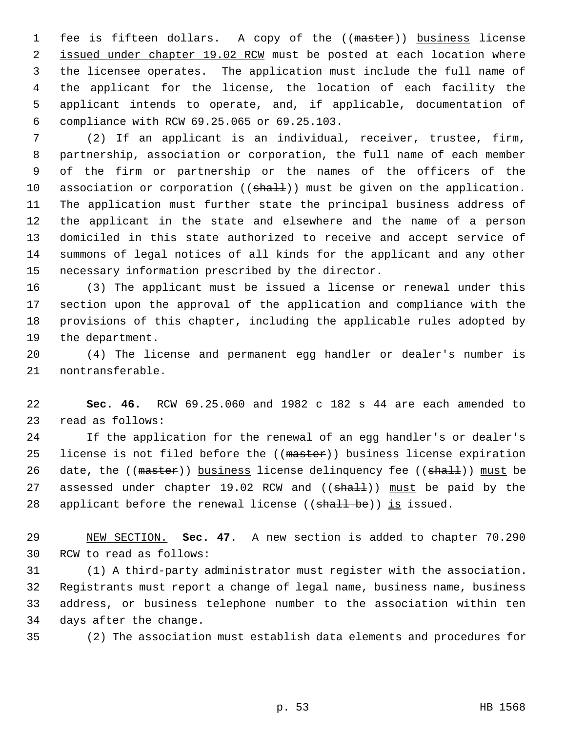1 fee is fifteen dollars. A copy of the ((master)) business license 2 issued under chapter 19.02 RCW must be posted at each location where 3 the licensee operates. The application must include the full name of 4 the applicant for the license, the location of each facility the 5 applicant intends to operate, and, if applicable, documentation of 6 compliance with RCW 69.25.065 or 69.25.103.

 7 (2) If an applicant is an individual, receiver, trustee, firm, 8 partnership, association or corporation, the full name of each member 9 of the firm or partnership or the names of the officers of the 10 association or corporation  $((shath)$ ) must be given on the application. 11 The application must further state the principal business address of 12 the applicant in the state and elsewhere and the name of a person 13 domiciled in this state authorized to receive and accept service of 14 summons of legal notices of all kinds for the applicant and any other 15 necessary information prescribed by the director.

16 (3) The applicant must be issued a license or renewal under this 17 section upon the approval of the application and compliance with the 18 provisions of this chapter, including the applicable rules adopted by 19 the department.

20 (4) The license and permanent egg handler or dealer's number is 21 nontransferable.

22 **Sec. 46.** RCW 69.25.060 and 1982 c 182 s 44 are each amended to 23 read as follows:

24 If the application for the renewal of an egg handler's or dealer's 25 license is not filed before the ((master)) business license expiration 26 date, the  $((\text{master}))$  business license delinquency fee  $((\text{shalt}))$  must be 27 assessed under chapter 19.02 RCW and ((shall)) must be paid by the 28 applicant before the renewal license (( $shall be$ )) is issued.

29 NEW SECTION. **Sec. 47.** A new section is added to chapter 70.290 30 RCW to read as follows:

31 (1) A third-party administrator must register with the association. 32 Registrants must report a change of legal name, business name, business 33 address, or business telephone number to the association within ten 34 days after the change.

35 (2) The association must establish data elements and procedures for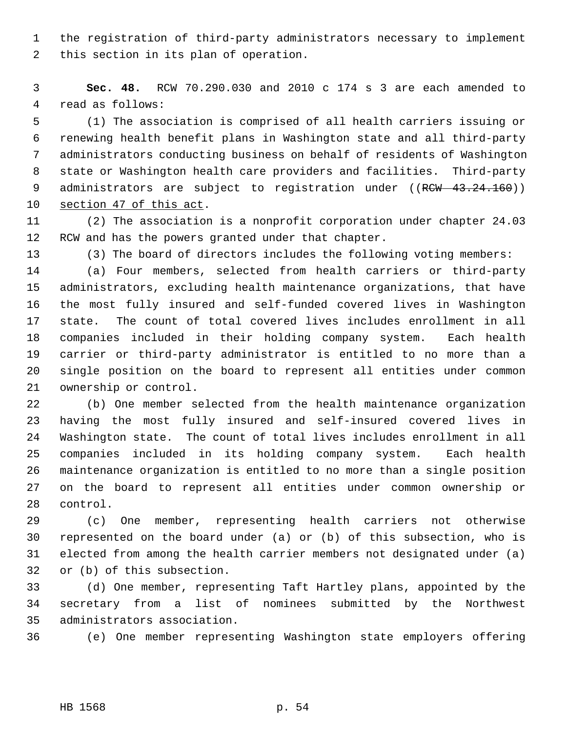1 the registration of third-party administrators necessary to implement 2 this section in its plan of operation.

 3 **Sec. 48.** RCW 70.290.030 and 2010 c 174 s 3 are each amended to 4 read as follows:

 5 (1) The association is comprised of all health carriers issuing or 6 renewing health benefit plans in Washington state and all third-party 7 administrators conducting business on behalf of residents of Washington 8 state or Washington health care providers and facilities. Third-party 9 administrators are subject to registration under ((RCW 43.24.160)) 10 section 47 of this act.

11 (2) The association is a nonprofit corporation under chapter 24.03 12 RCW and has the powers granted under that chapter.

13 (3) The board of directors includes the following voting members:

14 (a) Four members, selected from health carriers or third-party 15 administrators, excluding health maintenance organizations, that have 16 the most fully insured and self-funded covered lives in Washington 17 state. The count of total covered lives includes enrollment in all 18 companies included in their holding company system. Each health 19 carrier or third-party administrator is entitled to no more than a 20 single position on the board to represent all entities under common 21 ownership or control.

22 (b) One member selected from the health maintenance organization 23 having the most fully insured and self-insured covered lives in 24 Washington state. The count of total lives includes enrollment in all 25 companies included in its holding company system. Each health 26 maintenance organization is entitled to no more than a single position 27 on the board to represent all entities under common ownership or 28 control.

29 (c) One member, representing health carriers not otherwise 30 represented on the board under (a) or (b) of this subsection, who is 31 elected from among the health carrier members not designated under (a) 32 or (b) of this subsection.

33 (d) One member, representing Taft Hartley plans, appointed by the 34 secretary from a list of nominees submitted by the Northwest 35 administrators association.

36 (e) One member representing Washington state employers offering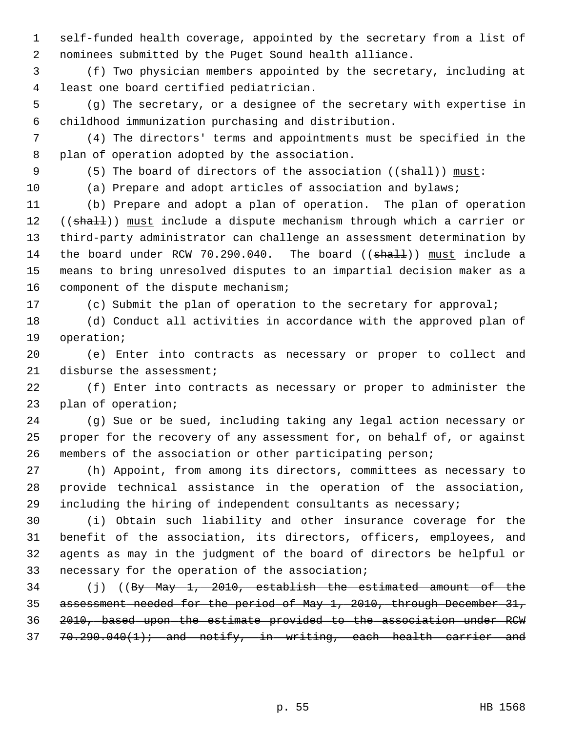1 self-funded health coverage, appointed by the secretary from a list of 2 nominees submitted by the Puget Sound health alliance.

 3 (f) Two physician members appointed by the secretary, including at 4 least one board certified pediatrician.

 5 (g) The secretary, or a designee of the secretary with expertise in 6 childhood immunization purchasing and distribution.

 7 (4) The directors' terms and appointments must be specified in the 8 plan of operation adopted by the association.

9 (5) The board of directors of the association ((shall)) must:

10 (a) Prepare and adopt articles of association and bylaws;

11 (b) Prepare and adopt a plan of operation. The plan of operation 12 ((shall)) must include a dispute mechanism through which a carrier or 13 third-party administrator can challenge an assessment determination by 14 the board under RCW 70.290.040. The board ((shall)) must include a 15 means to bring unresolved disputes to an impartial decision maker as a 16 component of the dispute mechanism;

17 (c) Submit the plan of operation to the secretary for approval;

18 (d) Conduct all activities in accordance with the approved plan of 19 operation;

20 (e) Enter into contracts as necessary or proper to collect and 21 disburse the assessment;

22 (f) Enter into contracts as necessary or proper to administer the 23 plan of operation;

24 (g) Sue or be sued, including taking any legal action necessary or 25 proper for the recovery of any assessment for, on behalf of, or against 26 members of the association or other participating person;

27 (h) Appoint, from among its directors, committees as necessary to 28 provide technical assistance in the operation of the association, 29 including the hiring of independent consultants as necessary;

30 (i) Obtain such liability and other insurance coverage for the 31 benefit of the association, its directors, officers, employees, and 32 agents as may in the judgment of the board of directors be helpful or 33 necessary for the operation of the association;

34 (j) ((By May 1, 2010, establish the estimated amount of the assessment needed for the period of May 1, 2010, through December 31, 2010, based upon the estimate provided to the association under RCW  $70.290.040(1)$ ; and notify, in writing, each health carrier and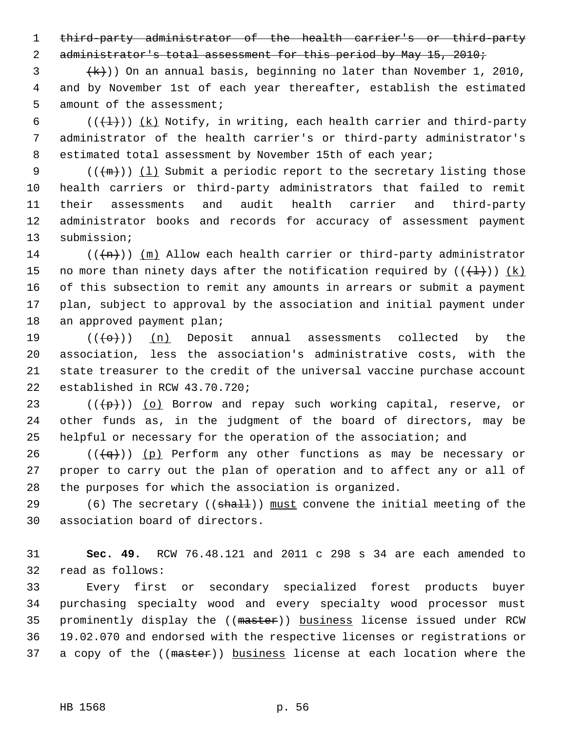1 third-party administrator of the health carrier's or third-party

2 administrator's total assessment for this period by May 15, 2010;

 $\{\mathsf{k}\}\)$ ) On an annual basis, beginning no later than November 1, 2010, 4 and by November 1st of each year thereafter, establish the estimated 5 amount of the assessment;

6 ( $(\frac{1}{1})$ ) (k) Notify, in writing, each health carrier and third-party 7 administrator of the health carrier's or third-party administrator's 8 estimated total assessment by November 15th of each year;

9  $((+m))$  (1) Submit a periodic report to the secretary listing those 10 health carriers or third-party administrators that failed to remit 11 their assessments and audit health carrier and third-party 12 administrator books and records for accuracy of assessment payment 13 submission;

14 ( $(\overline{+n})$ ) (m) Allow each health carrier or third-party administrator 15 no more than ninety days after the notification required by  $((+1))$   $(k)$ 16 of this subsection to remit any amounts in arrears or submit a payment 17 plan, subject to approval by the association and initial payment under 18 an approved payment plan;

19  $((+e+))$  (n) Deposit annual assessments collected by the 20 association, less the association's administrative costs, with the 21 state treasurer to the credit of the universal vaccine purchase account 22 established in RCW 43.70.720;

23 ( $(\frac{p}{p})$ ) (o) Borrow and repay such working capital, reserve, or 24 other funds as, in the judgment of the board of directors, may be 25 helpful or necessary for the operation of the association; and

26 ( $(\overline{q})$ ) (p) Perform any other functions as may be necessary or 27 proper to carry out the plan of operation and to affect any or all of 28 the purposes for which the association is organized.

29 (6) The secretary ((shall)) must convene the initial meeting of the 30 association board of directors.

31 **Sec. 49.** RCW 76.48.121 and 2011 c 298 s 34 are each amended to 32 read as follows:

33 Every first or secondary specialized forest products buyer 34 purchasing specialty wood and every specialty wood processor must 35 prominently display the ((master)) business license issued under RCW 36 19.02.070 and endorsed with the respective licenses or registrations or 37 a copy of the ((master)) business license at each location where the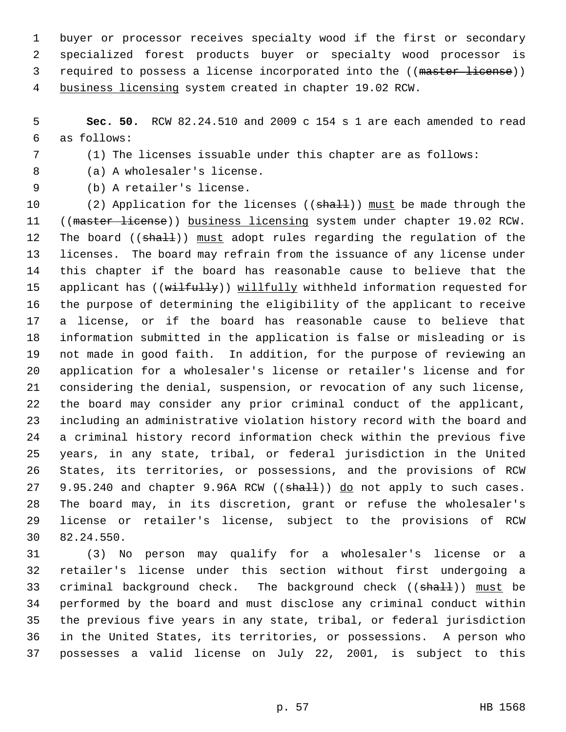1 buyer or processor receives specialty wood if the first or secondary 2 specialized forest products buyer or specialty wood processor is 3 required to possess a license incorporated into the ((master license)) 4 business licensing system created in chapter 19.02 RCW.

 5 **Sec. 50.** RCW 82.24.510 and 2009 c 154 s 1 are each amended to read 6 as follows:

7 (1) The licenses issuable under this chapter are as follows:

8 (a) A wholesaler's license.

9 (b) A retailer's license.

10 (2) Application for the licenses (( $\text{shall}$ )) must be made through the 11 ((master license)) business licensing system under chapter 19.02 RCW. 12 The board ((shall)) must adopt rules regarding the regulation of the 13 licenses. The board may refrain from the issuance of any license under 14 this chapter if the board has reasonable cause to believe that the 15 applicant has ((wilfully)) willfully withheld information requested for 16 the purpose of determining the eligibility of the applicant to receive 17 a license, or if the board has reasonable cause to believe that 18 information submitted in the application is false or misleading or is 19 not made in good faith. In addition, for the purpose of reviewing an 20 application for a wholesaler's license or retailer's license and for 21 considering the denial, suspension, or revocation of any such license, 22 the board may consider any prior criminal conduct of the applicant, 23 including an administrative violation history record with the board and 24 a criminal history record information check within the previous five 25 years, in any state, tribal, or federal jurisdiction in the United 26 States, its territories, or possessions, and the provisions of RCW 27 9.95.240 and chapter 9.96A RCW ((shall)) do not apply to such cases. 28 The board may, in its discretion, grant or refuse the wholesaler's 29 license or retailer's license, subject to the provisions of RCW 30 82.24.550.

31 (3) No person may qualify for a wholesaler's license or a 32 retailer's license under this section without first undergoing a 33 criminal background check. The background check ((shall)) must be 34 performed by the board and must disclose any criminal conduct within 35 the previous five years in any state, tribal, or federal jurisdiction 36 in the United States, its territories, or possessions. A person who 37 possesses a valid license on July 22, 2001, is subject to this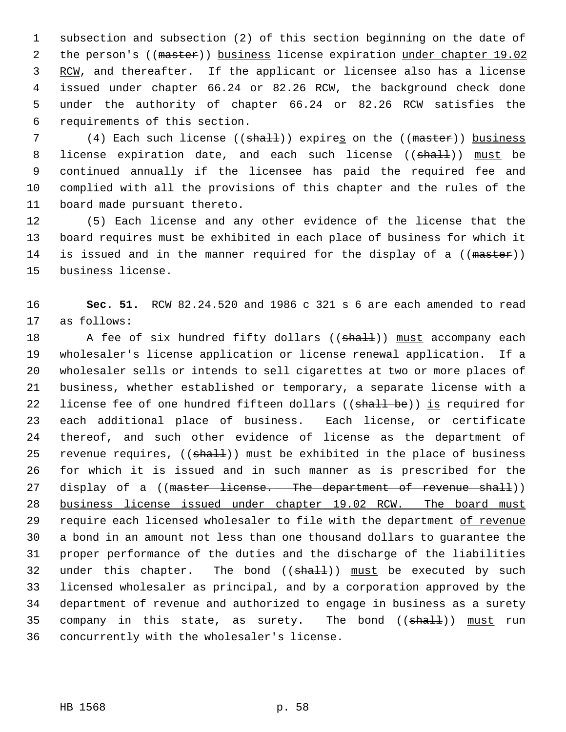1 subsection and subsection (2) of this section beginning on the date of 2 the person's ((master)) business license expiration under chapter 19.02 3 RCW, and thereafter. If the applicant or licensee also has a license 4 issued under chapter 66.24 or 82.26 RCW, the background check done 5 under the authority of chapter 66.24 or 82.26 RCW satisfies the 6 requirements of this section.

7 (4) Each such license ((shall)) expires on the ((master)) business 8 license expiration date, and each such license ((shall)) must be 9 continued annually if the licensee has paid the required fee and 10 complied with all the provisions of this chapter and the rules of the 11 board made pursuant thereto.

12 (5) Each license and any other evidence of the license that the 13 board requires must be exhibited in each place of business for which it 14 is issued and in the manner required for the display of a ((master)) 15 business license.

16 **Sec. 51.** RCW 82.24.520 and 1986 c 321 s 6 are each amended to read 17 as follows:

18 A fee of six hundred fifty dollars ((shall)) must accompany each 19 wholesaler's license application or license renewal application. If a 20 wholesaler sells or intends to sell cigarettes at two or more places of 21 business, whether established or temporary, a separate license with a 22 license fee of one hundred fifteen dollars ((shall be)) is required for 23 each additional place of business. Each license, or certificate 24 thereof, and such other evidence of license as the department of 25 revenue requires,  $((\text{sha11}))$  must be exhibited in the place of business 26 for which it is issued and in such manner as is prescribed for the 27 display of a ((master license. The department of revenue shall)) 28 business license issued under chapter 19.02 RCW. The board must 29 require each licensed wholesaler to file with the department of revenue 30 a bond in an amount not less than one thousand dollars to guarantee the 31 proper performance of the duties and the discharge of the liabilities 32 under this chapter. The bond  $((shall))$  must be executed by such 33 licensed wholesaler as principal, and by a corporation approved by the 34 department of revenue and authorized to engage in business as a surety 35 company in this state, as surety. The bond  $((shall))$  must run 36 concurrently with the wholesaler's license.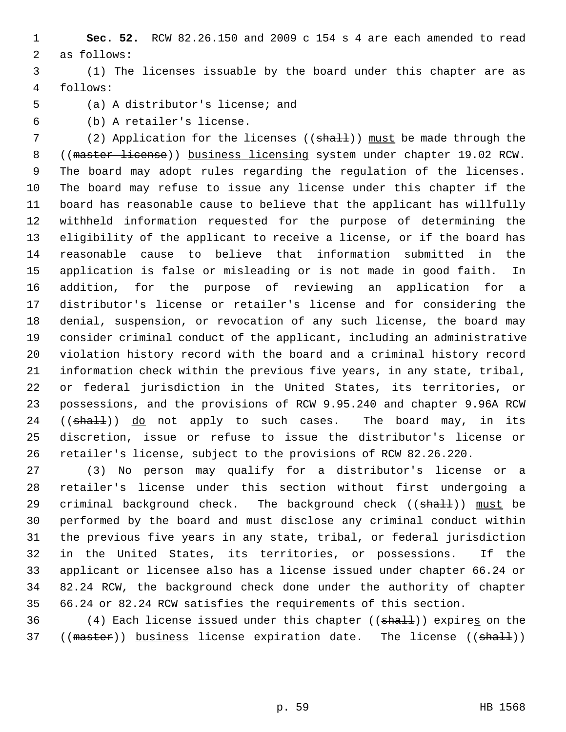1 **Sec. 52.** RCW 82.26.150 and 2009 c 154 s 4 are each amended to read 2 as follows:

 3 (1) The licenses issuable by the board under this chapter are as 4 follows:

5 (a) A distributor's license; and

6 (b) A retailer's license.

7 (2) Application for the licenses ((shall)) must be made through the 8 ((master license)) business licensing system under chapter 19.02 RCW. 9 The board may adopt rules regarding the regulation of the licenses. 10 The board may refuse to issue any license under this chapter if the 11 board has reasonable cause to believe that the applicant has willfully 12 withheld information requested for the purpose of determining the 13 eligibility of the applicant to receive a license, or if the board has 14 reasonable cause to believe that information submitted in the 15 application is false or misleading or is not made in good faith. In 16 addition, for the purpose of reviewing an application for a 17 distributor's license or retailer's license and for considering the 18 denial, suspension, or revocation of any such license, the board may 19 consider criminal conduct of the applicant, including an administrative 20 violation history record with the board and a criminal history record 21 information check within the previous five years, in any state, tribal, 22 or federal jurisdiction in the United States, its territories, or 23 possessions, and the provisions of RCW 9.95.240 and chapter 9.96A RCW 24 ((shall)) do not apply to such cases. The board may, in its 25 discretion, issue or refuse to issue the distributor's license or 26 retailer's license, subject to the provisions of RCW 82.26.220.

27 (3) No person may qualify for a distributor's license or a 28 retailer's license under this section without first undergoing a 29 criminal background check. The background check  $($  ( $\frac{\text{shall}}{\text{shall}})$ ) must be 30 performed by the board and must disclose any criminal conduct within 31 the previous five years in any state, tribal, or federal jurisdiction 32 in the United States, its territories, or possessions. If the 33 applicant or licensee also has a license issued under chapter 66.24 or 34 82.24 RCW, the background check done under the authority of chapter 35 66.24 or 82.24 RCW satisfies the requirements of this section.

36 (4) Each license issued under this chapter ((shall)) expires on the 37 ((master)) business license expiration date. The license ((shall))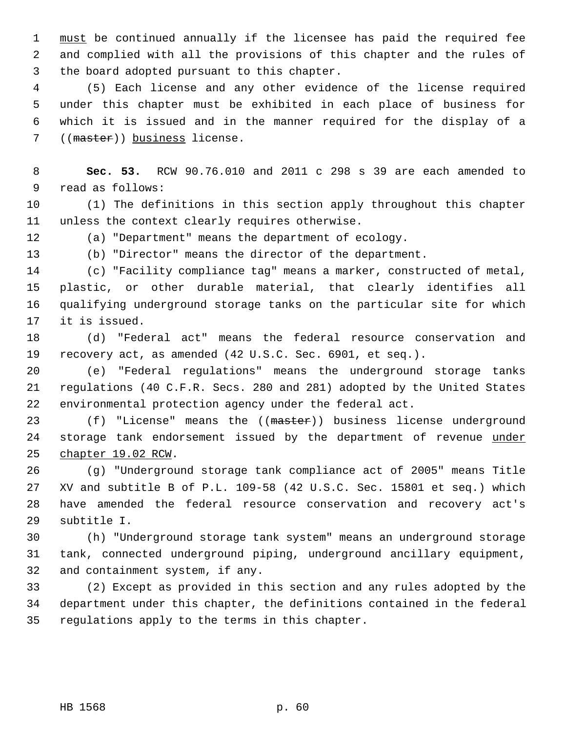1 must be continued annually if the licensee has paid the required fee 2 and complied with all the provisions of this chapter and the rules of 3 the board adopted pursuant to this chapter.

 4 (5) Each license and any other evidence of the license required 5 under this chapter must be exhibited in each place of business for 6 which it is issued and in the manner required for the display of a 7 ((master)) business license.

 8 **Sec. 53.** RCW 90.76.010 and 2011 c 298 s 39 are each amended to 9 read as follows:

10 (1) The definitions in this section apply throughout this chapter 11 unless the context clearly requires otherwise.

12 (a) "Department" means the department of ecology.

13 (b) "Director" means the director of the department.

14 (c) "Facility compliance tag" means a marker, constructed of metal, 15 plastic, or other durable material, that clearly identifies all 16 qualifying underground storage tanks on the particular site for which 17 it is issued.

18 (d) "Federal act" means the federal resource conservation and 19 recovery act, as amended (42 U.S.C. Sec. 6901, et seq.).

20 (e) "Federal regulations" means the underground storage tanks 21 regulations (40 C.F.R. Secs. 280 and 281) adopted by the United States 22 environmental protection agency under the federal act.

23 (f) "License" means the ((master)) business license underground 24 storage tank endorsement issued by the department of revenue under 25 chapter 19.02 RCW.

26 (g) "Underground storage tank compliance act of 2005" means Title 27 XV and subtitle B of P.L. 109-58 (42 U.S.C. Sec. 15801 et seq.) which 28 have amended the federal resource conservation and recovery act's 29 subtitle I.

30 (h) "Underground storage tank system" means an underground storage 31 tank, connected underground piping, underground ancillary equipment, 32 and containment system, if any.

33 (2) Except as provided in this section and any rules adopted by the 34 department under this chapter, the definitions contained in the federal 35 regulations apply to the terms in this chapter.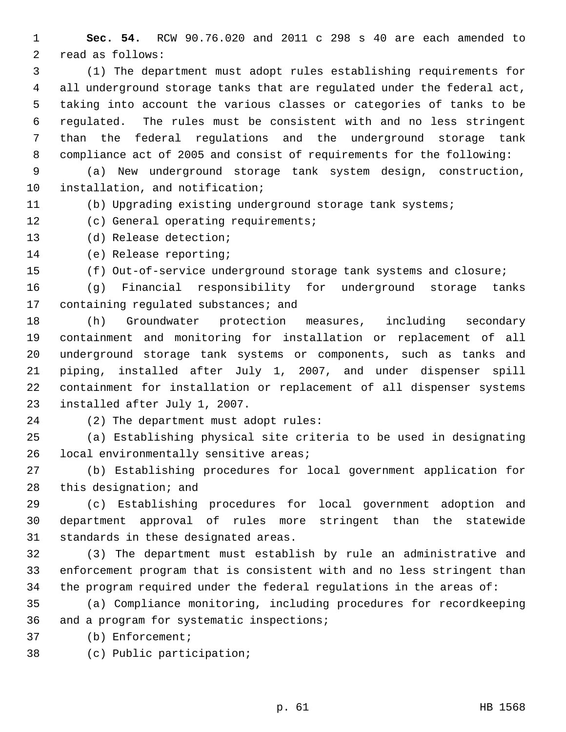1 **Sec. 54.** RCW 90.76.020 and 2011 c 298 s 40 are each amended to 2 read as follows:

 3 (1) The department must adopt rules establishing requirements for 4 all underground storage tanks that are regulated under the federal act, 5 taking into account the various classes or categories of tanks to be 6 regulated. The rules must be consistent with and no less stringent 7 than the federal regulations and the underground storage tank 8 compliance act of 2005 and consist of requirements for the following:

 9 (a) New underground storage tank system design, construction, 10 installation, and notification;

11 (b) Upgrading existing underground storage tank systems;

12 (c) General operating requirements;

13 (d) Release detection;

14 (e) Release reporting;

15 (f) Out-of-service underground storage tank systems and closure;

16 (g) Financial responsibility for underground storage tanks 17 containing regulated substances; and

18 (h) Groundwater protection measures, including secondary 19 containment and monitoring for installation or replacement of all 20 underground storage tank systems or components, such as tanks and 21 piping, installed after July 1, 2007, and under dispenser spill 22 containment for installation or replacement of all dispenser systems 23 installed after July 1, 2007.

24 (2) The department must adopt rules:

25 (a) Establishing physical site criteria to be used in designating 26 local environmentally sensitive areas;

27 (b) Establishing procedures for local government application for 28 this designation; and

29 (c) Establishing procedures for local government adoption and 30 department approval of rules more stringent than the statewide 31 standards in these designated areas.

32 (3) The department must establish by rule an administrative and 33 enforcement program that is consistent with and no less stringent than 34 the program required under the federal regulations in the areas of:

35 (a) Compliance monitoring, including procedures for recordkeeping 36 and a program for systematic inspections;

37 (b) Enforcement;

38 (c) Public participation;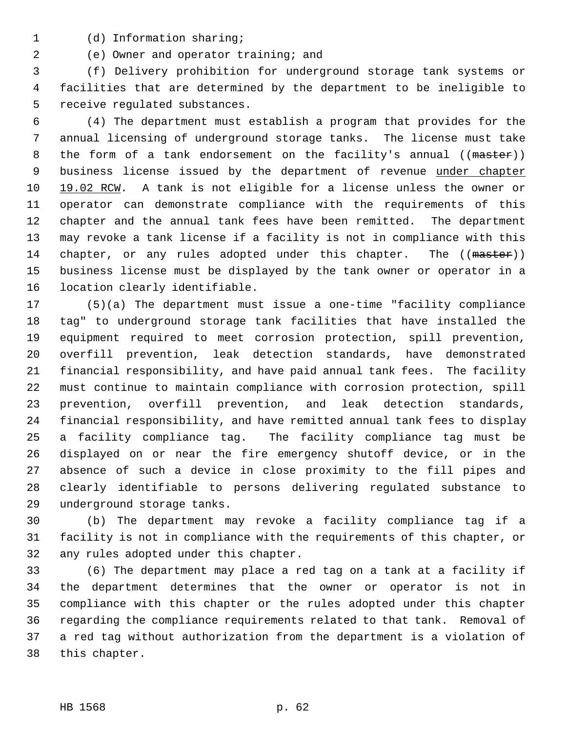- 
- 1 (d) Information sharing;
- 2 (e) Owner and operator training; and

 3 (f) Delivery prohibition for underground storage tank systems or 4 facilities that are determined by the department to be ineligible to 5 receive regulated substances.

 6 (4) The department must establish a program that provides for the 7 annual licensing of underground storage tanks. The license must take 8 the form of a tank endorsement on the facility's annual ((master)) 9 business license issued by the department of revenue under chapter 10 19.02 RCW. A tank is not eligible for a license unless the owner or 11 operator can demonstrate compliance with the requirements of this 12 chapter and the annual tank fees have been remitted. The department 13 may revoke a tank license if a facility is not in compliance with this 14 chapter, or any rules adopted under this chapter. The ((master)) 15 business license must be displayed by the tank owner or operator in a 16 location clearly identifiable.

17 (5)(a) The department must issue a one-time "facility compliance 18 tag" to underground storage tank facilities that have installed the 19 equipment required to meet corrosion protection, spill prevention, 20 overfill prevention, leak detection standards, have demonstrated 21 financial responsibility, and have paid annual tank fees. The facility 22 must continue to maintain compliance with corrosion protection, spill 23 prevention, overfill prevention, and leak detection standards, 24 financial responsibility, and have remitted annual tank fees to display 25 a facility compliance tag. The facility compliance tag must be 26 displayed on or near the fire emergency shutoff device, or in the 27 absence of such a device in close proximity to the fill pipes and 28 clearly identifiable to persons delivering regulated substance to 29 underground storage tanks.

30 (b) The department may revoke a facility compliance tag if a 31 facility is not in compliance with the requirements of this chapter, or 32 any rules adopted under this chapter.

33 (6) The department may place a red tag on a tank at a facility if 34 the department determines that the owner or operator is not in 35 compliance with this chapter or the rules adopted under this chapter 36 regarding the compliance requirements related to that tank. Removal of 37 a red tag without authorization from the department is a violation of 38 this chapter.